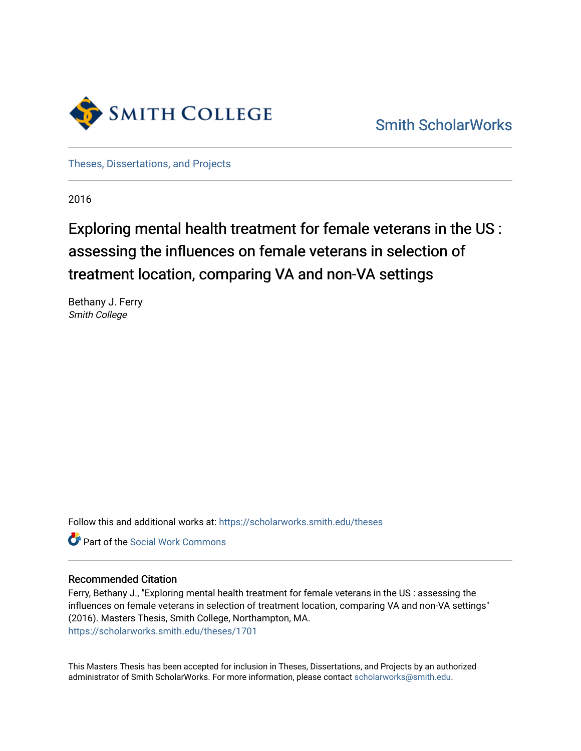

[Smith ScholarWorks](https://scholarworks.smith.edu/) 

[Theses, Dissertations, and Projects](https://scholarworks.smith.edu/theses) 

2016

# Exploring mental health treatment for female veterans in the US : assessing the influences on female veterans in selection of treatment location, comparing VA and non-VA settings

Bethany J. Ferry Smith College

Follow this and additional works at: [https://scholarworks.smith.edu/theses](https://scholarworks.smith.edu/theses?utm_source=scholarworks.smith.edu%2Ftheses%2F1701&utm_medium=PDF&utm_campaign=PDFCoverPages) 

**Part of the [Social Work Commons](http://network.bepress.com/hgg/discipline/713?utm_source=scholarworks.smith.edu%2Ftheses%2F1701&utm_medium=PDF&utm_campaign=PDFCoverPages)** 

## Recommended Citation

Ferry, Bethany J., "Exploring mental health treatment for female veterans in the US : assessing the influences on female veterans in selection of treatment location, comparing VA and non-VA settings" (2016). Masters Thesis, Smith College, Northampton, MA. [https://scholarworks.smith.edu/theses/1701](https://scholarworks.smith.edu/theses/1701?utm_source=scholarworks.smith.edu%2Ftheses%2F1701&utm_medium=PDF&utm_campaign=PDFCoverPages)

This Masters Thesis has been accepted for inclusion in Theses, Dissertations, and Projects by an authorized administrator of Smith ScholarWorks. For more information, please contact [scholarworks@smith.edu](mailto:scholarworks@smith.edu).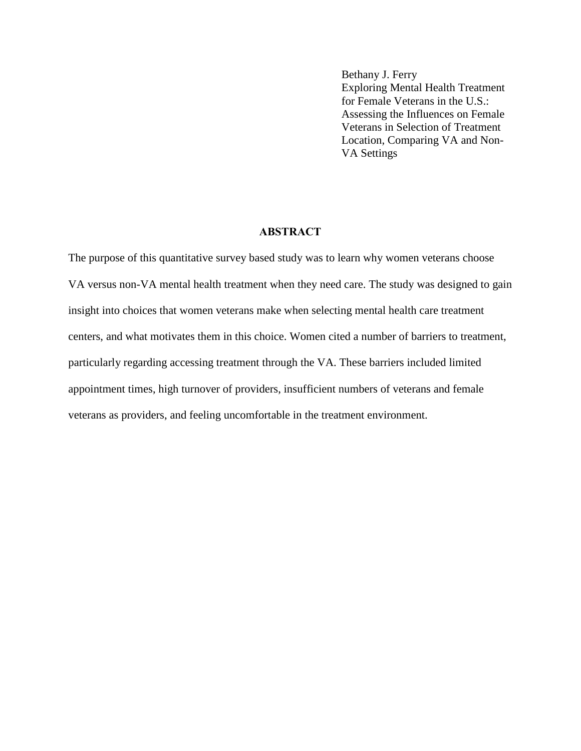Bethany J. Ferry Exploring Mental Health Treatment for Female Veterans in the U.S.: Assessing the Influences on Female Veterans in Selection of Treatment Location, Comparing VA and Non-VA Settings

# **ABSTRACT**

The purpose of this quantitative survey based study was to learn why women veterans choose VA versus non-VA mental health treatment when they need care. The study was designed to gain insight into choices that women veterans make when selecting mental health care treatment centers, and what motivates them in this choice. Women cited a number of barriers to treatment, particularly regarding accessing treatment through the VA. These barriers included limited appointment times, high turnover of providers, insufficient numbers of veterans and female veterans as providers, and feeling uncomfortable in the treatment environment.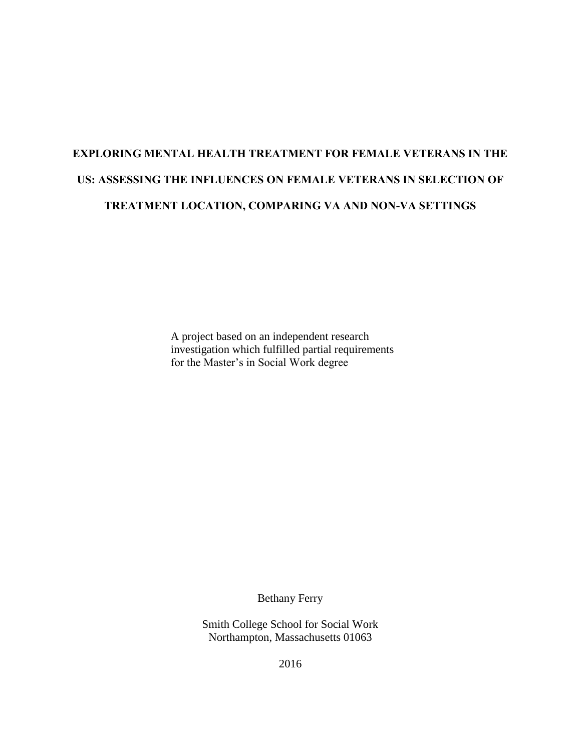# **EXPLORING MENTAL HEALTH TREATMENT FOR FEMALE VETERANS IN THE US: ASSESSING THE INFLUENCES ON FEMALE VETERANS IN SELECTION OF TREATMENT LOCATION, COMPARING VA AND NON-VA SETTINGS**

A project based on an independent research investigation which fulfilled partial requirements for the Master's in Social Work degree

Bethany Ferry

Smith College School for Social Work Northampton, Massachusetts 01063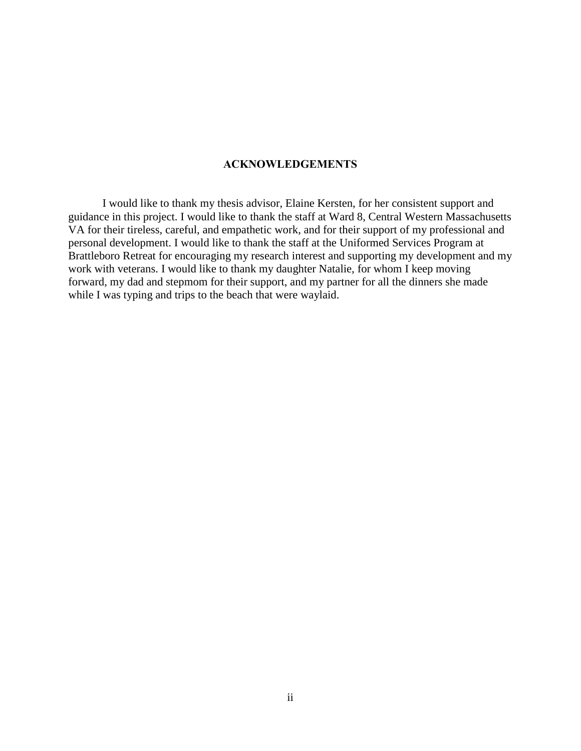# **ACKNOWLEDGEMENTS**

I would like to thank my thesis advisor, Elaine Kersten, for her consistent support and guidance in this project. I would like to thank the staff at Ward 8, Central Western Massachusetts VA for their tireless, careful, and empathetic work, and for their support of my professional and personal development. I would like to thank the staff at the Uniformed Services Program at Brattleboro Retreat for encouraging my research interest and supporting my development and my work with veterans. I would like to thank my daughter Natalie, for whom I keep moving forward, my dad and stepmom for their support, and my partner for all the dinners she made while I was typing and trips to the beach that were waylaid.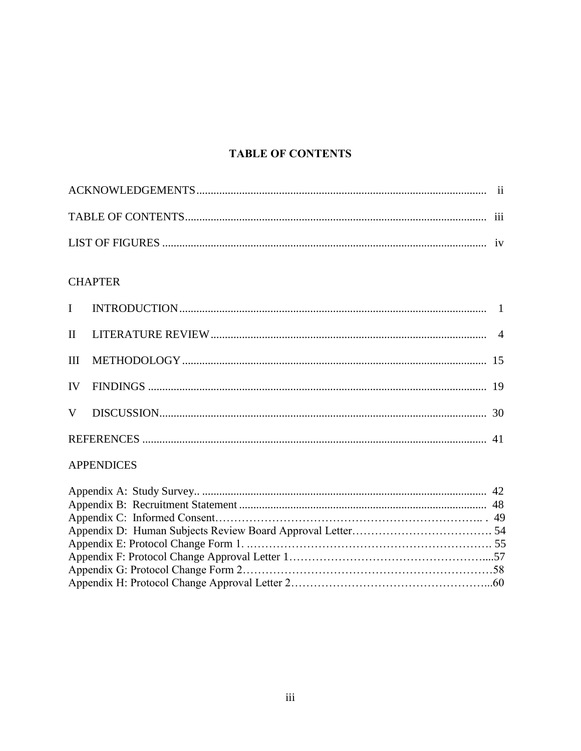# **TABLE OF CONTENTS**

# **CHAPTER**

# **APPENDICES**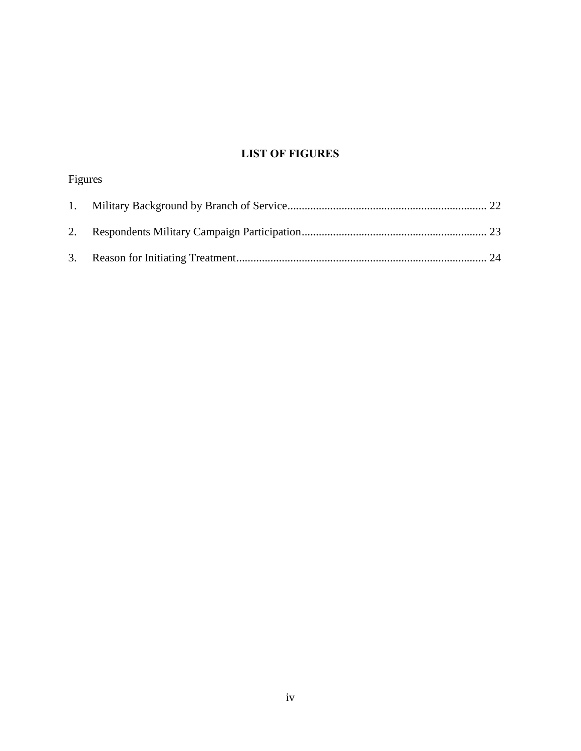# **LIST OF FIGURES**

| Figures |  |
|---------|--|
|         |  |
|         |  |
|         |  |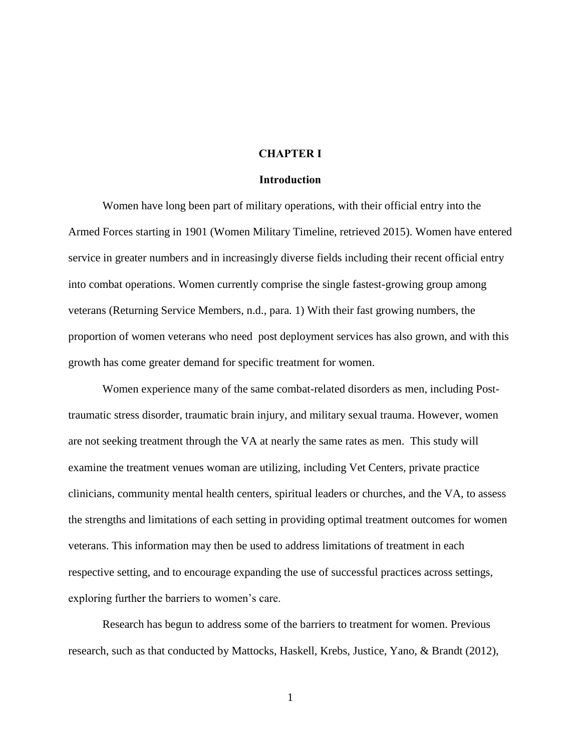## **CHAPTER I**

#### **Introduction**

Women have long been part of military operations, with their official entry into the Armed Forces starting in 1901 (Women Military Timeline, retrieved 2015). Women have entered service in greater numbers and in increasingly diverse fields including their recent official entry into combat operations. Women currently comprise the single fastest-growing group among veterans (Returning Service Members, n.d., para. 1) With their fast growing numbers, the proportion of women veterans who need post deployment services has also grown, and with this growth has come greater demand for specific treatment for women.

Women experience many of the same combat-related disorders as men, including Posttraumatic stress disorder, traumatic brain injury, and military sexual trauma. However, women are not seeking treatment through the VA at nearly the same rates as men. This study will examine the treatment venues woman are utilizing, including Vet Centers, private practice clinicians, community mental health centers, spiritual leaders or churches, and the VA, to assess the strengths and limitations of each setting in providing optimal treatment outcomes for women veterans. This information may then be used to address limitations of treatment in each respective setting, and to encourage expanding the use of successful practices across settings, exploring further the barriers to women's care.

Research has begun to address some of the barriers to treatment for women. Previous research, such as that conducted by Mattocks, Haskell, Krebs, Justice, Yano, & Brandt (2012),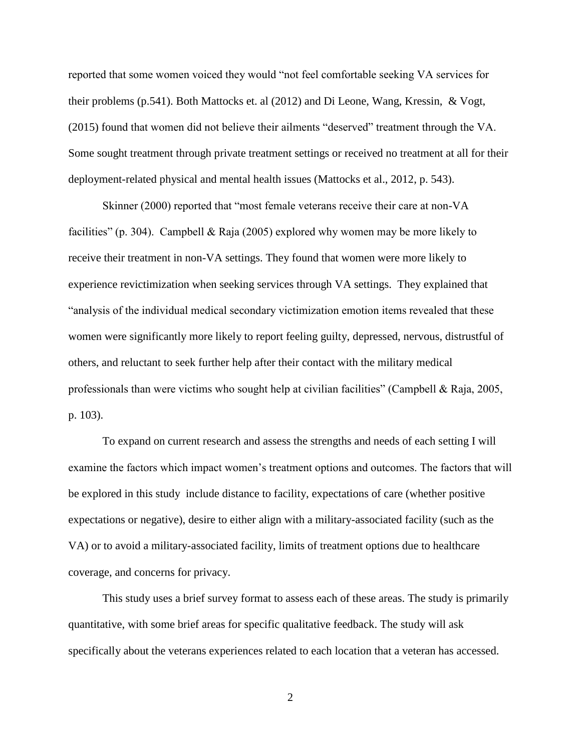reported that some women voiced they would "not feel comfortable seeking VA services for their problems (p.541). Both Mattocks et. al (2012) and Di Leone, Wang, Kressin, & Vogt, (2015) found that women did not believe their ailments "deserved" treatment through the VA. Some sought treatment through private treatment settings or received no treatment at all for their deployment-related physical and mental health issues (Mattocks et al., 2012, p. 543).

Skinner (2000) reported that "most female veterans receive their care at non-VA facilities" (p. 304). Campbell & Raja (2005) explored why women may be more likely to receive their treatment in non-VA settings. They found that women were more likely to experience revictimization when seeking services through VA settings. They explained that "analysis of the individual medical secondary victimization emotion items revealed that these women were significantly more likely to report feeling guilty, depressed, nervous, distrustful of others, and reluctant to seek further help after their contact with the military medical professionals than were victims who sought help at civilian facilities" (Campbell & Raja, 2005, p. 103).

To expand on current research and assess the strengths and needs of each setting I will examine the factors which impact women's treatment options and outcomes. The factors that will be explored in this study include distance to facility, expectations of care (whether positive expectations or negative), desire to either align with a military-associated facility (such as the VA) or to avoid a military-associated facility, limits of treatment options due to healthcare coverage, and concerns for privacy.

This study uses a brief survey format to assess each of these areas. The study is primarily quantitative, with some brief areas for specific qualitative feedback. The study will ask specifically about the veterans experiences related to each location that a veteran has accessed.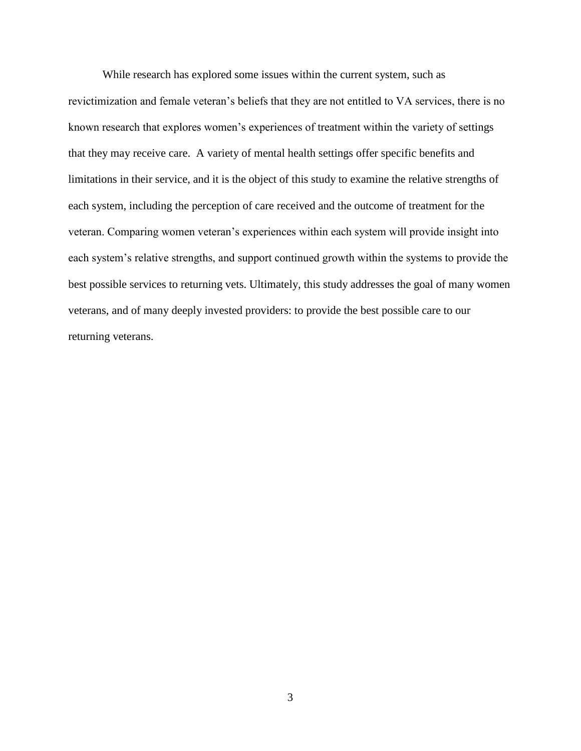While research has explored some issues within the current system, such as revictimization and female veteran's beliefs that they are not entitled to VA services, there is no known research that explores women's experiences of treatment within the variety of settings that they may receive care. A variety of mental health settings offer specific benefits and limitations in their service, and it is the object of this study to examine the relative strengths of each system, including the perception of care received and the outcome of treatment for the veteran. Comparing women veteran's experiences within each system will provide insight into each system's relative strengths, and support continued growth within the systems to provide the best possible services to returning vets. Ultimately, this study addresses the goal of many women veterans, and of many deeply invested providers: to provide the best possible care to our returning veterans.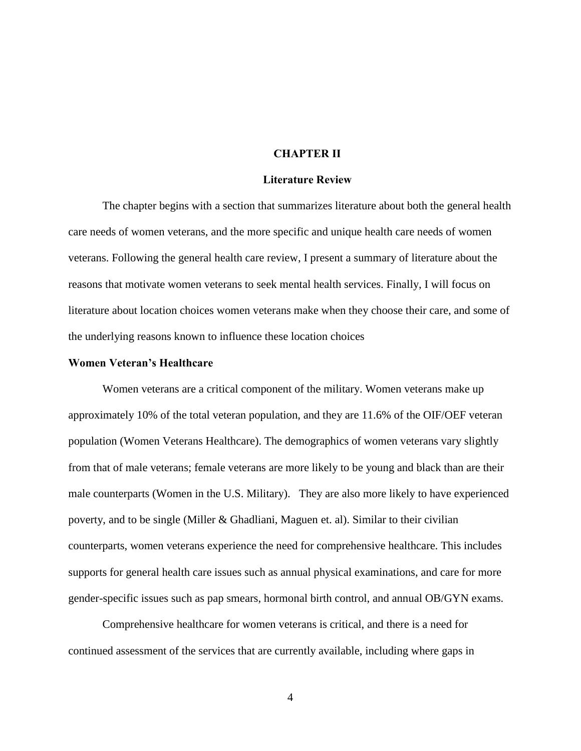## **CHAPTER II**

#### **Literature Review**

The chapter begins with a section that summarizes literature about both the general health care needs of women veterans, and the more specific and unique health care needs of women veterans. Following the general health care review, I present a summary of literature about the reasons that motivate women veterans to seek mental health services. Finally, I will focus on literature about location choices women veterans make when they choose their care, and some of the underlying reasons known to influence these location choices

#### **Women Veteran's Healthcare**

Women veterans are a critical component of the military. Women veterans make up approximately 10% of the total veteran population, and they are 11.6% of the OIF/OEF veteran population (Women Veterans Healthcare). The demographics of women veterans vary slightly from that of male veterans; female veterans are more likely to be young and black than are their male counterparts (Women in the U.S. Military). They are also more likely to have experienced poverty, and to be single (Miller & Ghadliani, Maguen et. al). Similar to their civilian counterparts, women veterans experience the need for comprehensive healthcare. This includes supports for general health care issues such as annual physical examinations, and care for more gender-specific issues such as pap smears, hormonal birth control, and annual OB/GYN exams.

Comprehensive healthcare for women veterans is critical, and there is a need for continued assessment of the services that are currently available, including where gaps in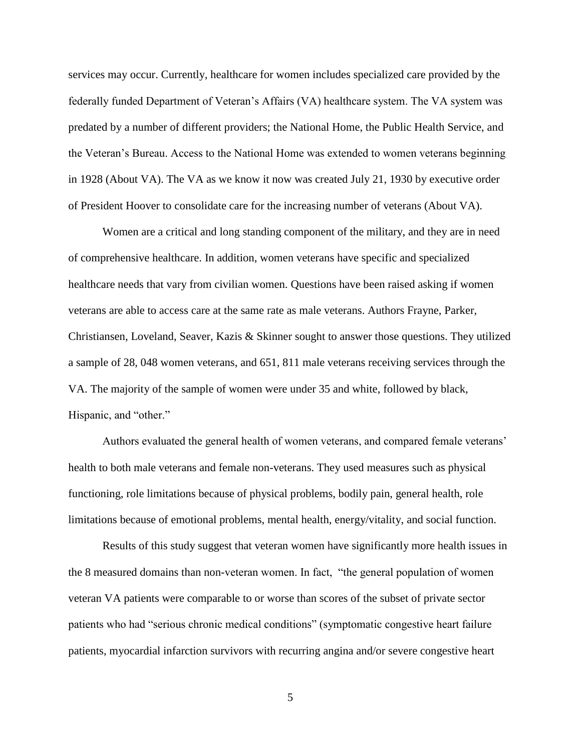services may occur. Currently, healthcare for women includes specialized care provided by the federally funded Department of Veteran's Affairs (VA) healthcare system. The VA system was predated by a number of different providers; the National Home, the Public Health Service, and the Veteran's Bureau. Access to the National Home was extended to women veterans beginning in 1928 (About VA). The VA as we know it now was created July 21, 1930 by executive order of President Hoover to consolidate care for the increasing number of veterans (About VA).

Women are a critical and long standing component of the military, and they are in need of comprehensive healthcare. In addition, women veterans have specific and specialized healthcare needs that vary from civilian women. Questions have been raised asking if women veterans are able to access care at the same rate as male veterans. Authors Frayne, Parker, Christiansen, Loveland, Seaver, Kazis & Skinner sought to answer those questions. They utilized a sample of 28, 048 women veterans, and 651, 811 male veterans receiving services through the VA. The majority of the sample of women were under 35 and white, followed by black, Hispanic, and "other."

Authors evaluated the general health of women veterans, and compared female veterans' health to both male veterans and female non-veterans. They used measures such as physical functioning, role limitations because of physical problems, bodily pain, general health, role limitations because of emotional problems, mental health, energy/vitality, and social function.

Results of this study suggest that veteran women have significantly more health issues in the 8 measured domains than non-veteran women. In fact, "the general population of women veteran VA patients were comparable to or worse than scores of the subset of private sector patients who had "serious chronic medical conditions" (symptomatic congestive heart failure patients, myocardial infarction survivors with recurring angina and/or severe congestive heart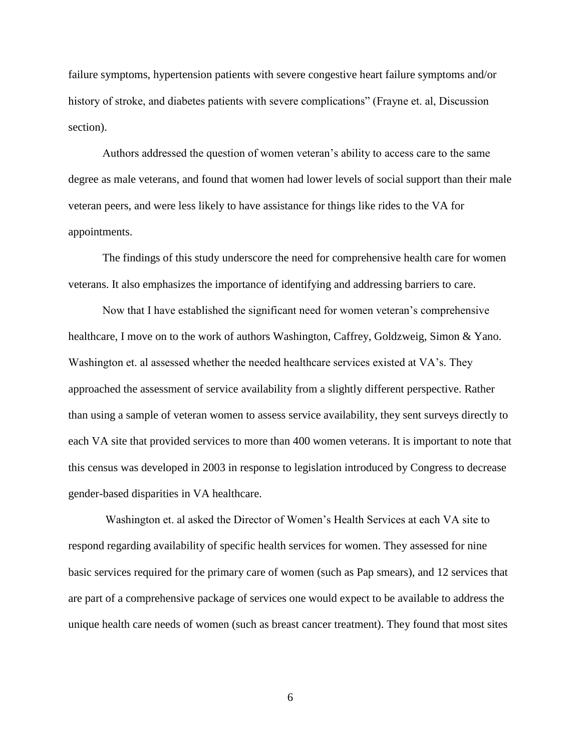failure symptoms, hypertension patients with severe congestive heart failure symptoms and/or history of stroke, and diabetes patients with severe complications" (Frayne et. al, Discussion section).

Authors addressed the question of women veteran's ability to access care to the same degree as male veterans, and found that women had lower levels of social support than their male veteran peers, and were less likely to have assistance for things like rides to the VA for appointments.

The findings of this study underscore the need for comprehensive health care for women veterans. It also emphasizes the importance of identifying and addressing barriers to care.

Now that I have established the significant need for women veteran's comprehensive healthcare, I move on to the work of authors Washington, Caffrey, Goldzweig, Simon & Yano. Washington et. al assessed whether the needed healthcare services existed at VA's. They approached the assessment of service availability from a slightly different perspective. Rather than using a sample of veteran women to assess service availability, they sent surveys directly to each VA site that provided services to more than 400 women veterans. It is important to note that this census was developed in 2003 in response to legislation introduced by Congress to decrease gender-based disparities in VA healthcare.

Washington et. al asked the Director of Women's Health Services at each VA site to respond regarding availability of specific health services for women. They assessed for nine basic services required for the primary care of women (such as Pap smears), and 12 services that are part of a comprehensive package of services one would expect to be available to address the unique health care needs of women (such as breast cancer treatment). They found that most sites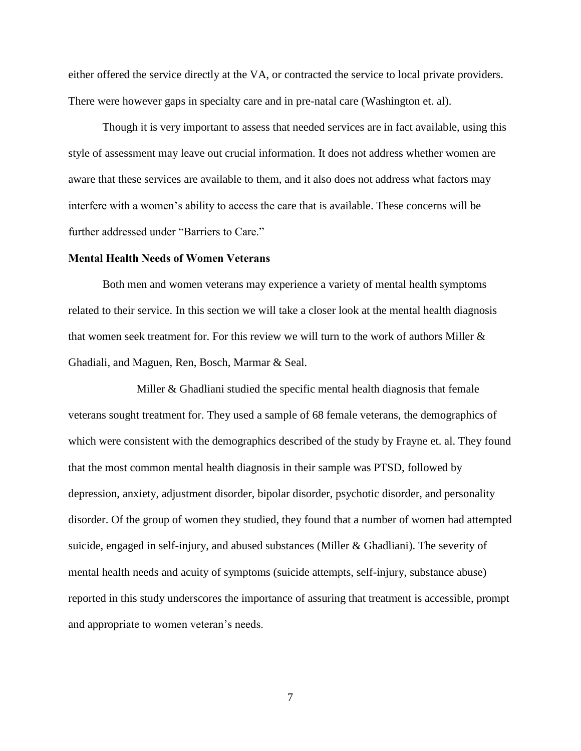either offered the service directly at the VA, or contracted the service to local private providers. There were however gaps in specialty care and in pre-natal care (Washington et. al).

Though it is very important to assess that needed services are in fact available, using this style of assessment may leave out crucial information. It does not address whether women are aware that these services are available to them, and it also does not address what factors may interfere with a women's ability to access the care that is available. These concerns will be further addressed under "Barriers to Care."

#### **Mental Health Needs of Women Veterans**

Both men and women veterans may experience a variety of mental health symptoms related to their service. In this section we will take a closer look at the mental health diagnosis that women seek treatment for. For this review we will turn to the work of authors Miller  $\&$ Ghadiali, and Maguen, Ren, Bosch, Marmar & Seal.

 Miller & Ghadliani studied the specific mental health diagnosis that female veterans sought treatment for. They used a sample of 68 female veterans, the demographics of which were consistent with the demographics described of the study by Frayne et. al. They found that the most common mental health diagnosis in their sample was PTSD, followed by depression, anxiety, adjustment disorder, bipolar disorder, psychotic disorder, and personality disorder. Of the group of women they studied, they found that a number of women had attempted suicide, engaged in self-injury, and abused substances (Miller & Ghadliani). The severity of mental health needs and acuity of symptoms (suicide attempts, self-injury, substance abuse) reported in this study underscores the importance of assuring that treatment is accessible, prompt and appropriate to women veteran's needs.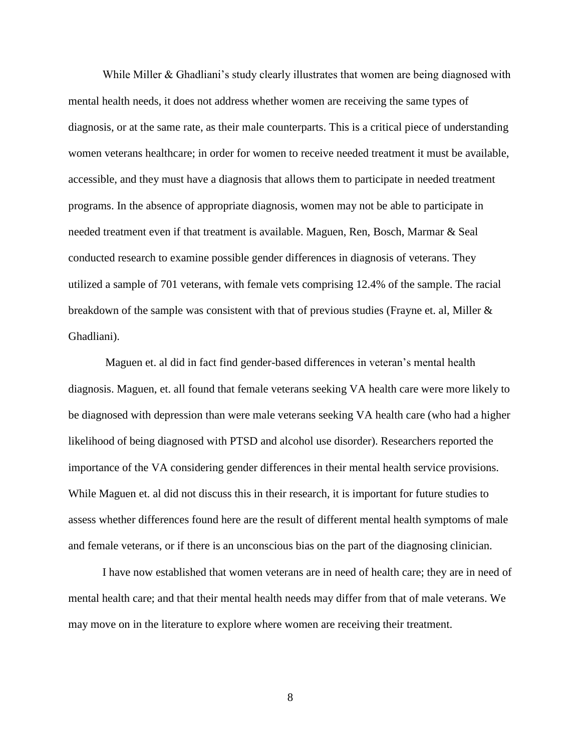While Miller & Ghadliani's study clearly illustrates that women are being diagnosed with mental health needs, it does not address whether women are receiving the same types of diagnosis, or at the same rate, as their male counterparts. This is a critical piece of understanding women veterans healthcare; in order for women to receive needed treatment it must be available, accessible, and they must have a diagnosis that allows them to participate in needed treatment programs. In the absence of appropriate diagnosis, women may not be able to participate in needed treatment even if that treatment is available. Maguen, Ren, Bosch, Marmar & Seal conducted research to examine possible gender differences in diagnosis of veterans. They utilized a sample of 701 veterans, with female vets comprising 12.4% of the sample. The racial breakdown of the sample was consistent with that of previous studies (Frayne et. al, Miller & Ghadliani).

Maguen et. al did in fact find gender-based differences in veteran's mental health diagnosis. Maguen, et. all found that female veterans seeking VA health care were more likely to be diagnosed with depression than were male veterans seeking VA health care (who had a higher likelihood of being diagnosed with PTSD and alcohol use disorder). Researchers reported the importance of the VA considering gender differences in their mental health service provisions. While Maguen et. al did not discuss this in their research, it is important for future studies to assess whether differences found here are the result of different mental health symptoms of male and female veterans, or if there is an unconscious bias on the part of the diagnosing clinician.

I have now established that women veterans are in need of health care; they are in need of mental health care; and that their mental health needs may differ from that of male veterans. We may move on in the literature to explore where women are receiving their treatment.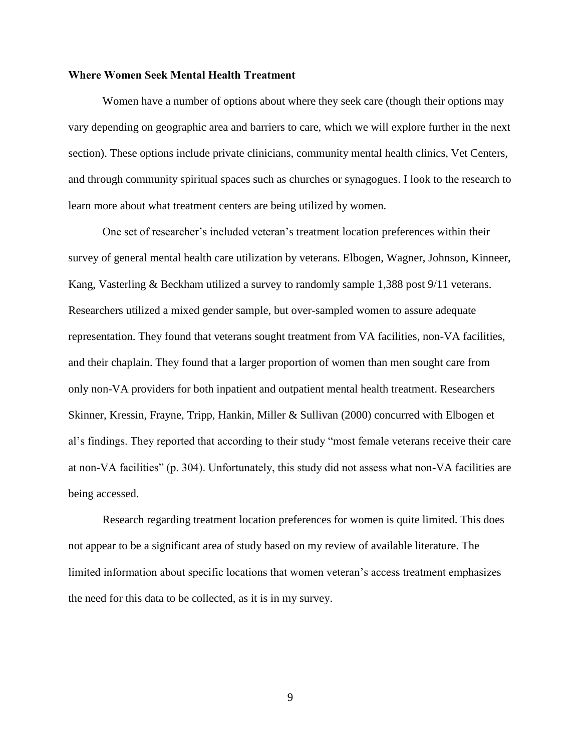### **Where Women Seek Mental Health Treatment**

Women have a number of options about where they seek care (though their options may vary depending on geographic area and barriers to care, which we will explore further in the next section). These options include private clinicians, community mental health clinics, Vet Centers, and through community spiritual spaces such as churches or synagogues. I look to the research to learn more about what treatment centers are being utilized by women.

One set of researcher's included veteran's treatment location preferences within their survey of general mental health care utilization by veterans. Elbogen, Wagner, Johnson, Kinneer, Kang, Vasterling & Beckham utilized a survey to randomly sample 1,388 post 9/11 veterans. Researchers utilized a mixed gender sample, but over-sampled women to assure adequate representation. They found that veterans sought treatment from VA facilities, non-VA facilities, and their chaplain. They found that a larger proportion of women than men sought care from only non-VA providers for both inpatient and outpatient mental health treatment. Researchers Skinner, Kressin, Frayne, Tripp, Hankin, Miller & Sullivan (2000) concurred with Elbogen et al's findings. They reported that according to their study "most female veterans receive their care at non-VA facilities" (p. 304). Unfortunately, this study did not assess what non-VA facilities are being accessed.

Research regarding treatment location preferences for women is quite limited. This does not appear to be a significant area of study based on my review of available literature. The limited information about specific locations that women veteran's access treatment emphasizes the need for this data to be collected, as it is in my survey.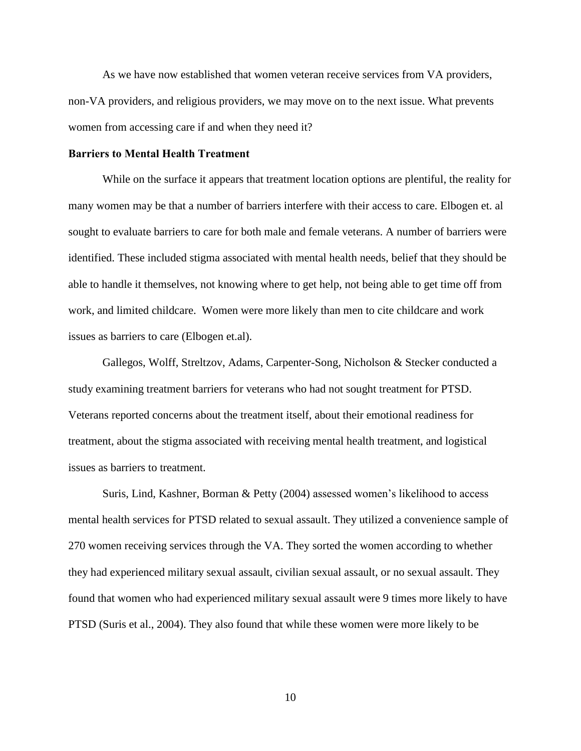As we have now established that women veteran receive services from VA providers, non-VA providers, and religious providers, we may move on to the next issue. What prevents women from accessing care if and when they need it?

## **Barriers to Mental Health Treatment**

While on the surface it appears that treatment location options are plentiful, the reality for many women may be that a number of barriers interfere with their access to care. Elbogen et. al sought to evaluate barriers to care for both male and female veterans. A number of barriers were identified. These included stigma associated with mental health needs, belief that they should be able to handle it themselves, not knowing where to get help, not being able to get time off from work, and limited childcare. Women were more likely than men to cite childcare and work issues as barriers to care (Elbogen et.al).

Gallegos, Wolff, Streltzov, Adams, Carpenter-Song, Nicholson & Stecker conducted a study examining treatment barriers for veterans who had not sought treatment for PTSD. Veterans reported concerns about the treatment itself, about their emotional readiness for treatment, about the stigma associated with receiving mental health treatment, and logistical issues as barriers to treatment.

Suris, Lind, Kashner, Borman & Petty (2004) assessed women's likelihood to access mental health services for PTSD related to sexual assault. They utilized a convenience sample of 270 women receiving services through the VA. They sorted the women according to whether they had experienced military sexual assault, civilian sexual assault, or no sexual assault. They found that women who had experienced military sexual assault were 9 times more likely to have PTSD (Suris et al., 2004). They also found that while these women were more likely to be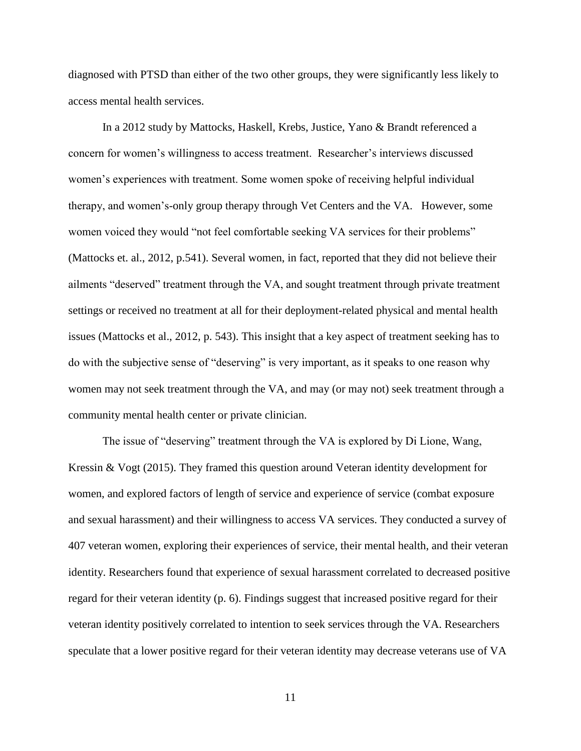diagnosed with PTSD than either of the two other groups, they were significantly less likely to access mental health services.

In a 2012 study by Mattocks, Haskell, Krebs, Justice, Yano & Brandt referenced a concern for women's willingness to access treatment. Researcher's interviews discussed women's experiences with treatment. Some women spoke of receiving helpful individual therapy, and women's-only group therapy through Vet Centers and the VA. However, some women voiced they would "not feel comfortable seeking VA services for their problems" (Mattocks et. al., 2012, p.541). Several women, in fact, reported that they did not believe their ailments "deserved" treatment through the VA, and sought treatment through private treatment settings or received no treatment at all for their deployment-related physical and mental health issues (Mattocks et al., 2012, p. 543). This insight that a key aspect of treatment seeking has to do with the subjective sense of "deserving" is very important, as it speaks to one reason why women may not seek treatment through the VA, and may (or may not) seek treatment through a community mental health center or private clinician.

The issue of "deserving" treatment through the VA is explored by Di Lione, Wang, Kressin & Vogt (2015). They framed this question around Veteran identity development for women, and explored factors of length of service and experience of service (combat exposure and sexual harassment) and their willingness to access VA services. They conducted a survey of 407 veteran women, exploring their experiences of service, their mental health, and their veteran identity. Researchers found that experience of sexual harassment correlated to decreased positive regard for their veteran identity (p. 6). Findings suggest that increased positive regard for their veteran identity positively correlated to intention to seek services through the VA. Researchers speculate that a lower positive regard for their veteran identity may decrease veterans use of VA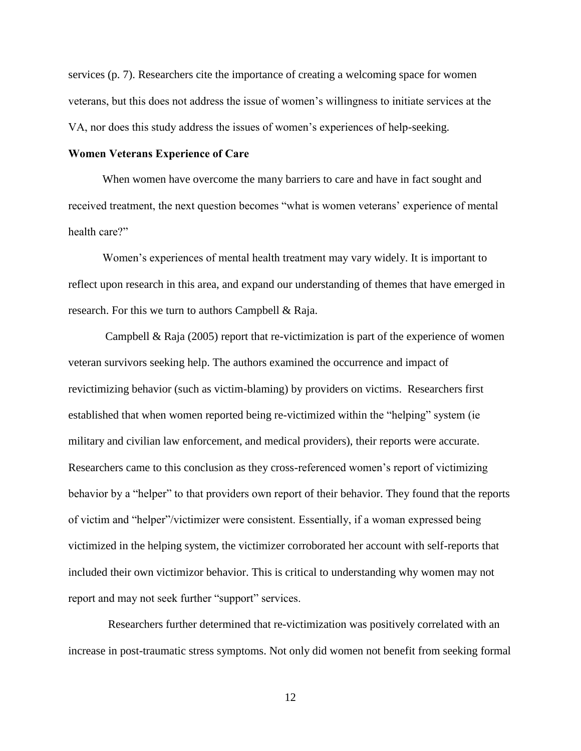services (p. 7). Researchers cite the importance of creating a welcoming space for women veterans, but this does not address the issue of women's willingness to initiate services at the VA, nor does this study address the issues of women's experiences of help-seeking.

## **Women Veterans Experience of Care**

When women have overcome the many barriers to care and have in fact sought and received treatment, the next question becomes "what is women veterans' experience of mental health care?"

Women's experiences of mental health treatment may vary widely. It is important to reflect upon research in this area, and expand our understanding of themes that have emerged in research. For this we turn to authors Campbell & Raja.

Campbell & Raja (2005) report that re-victimization is part of the experience of women veteran survivors seeking help. The authors examined the occurrence and impact of revictimizing behavior (such as victim-blaming) by providers on victims. Researchers first established that when women reported being re-victimized within the "helping" system (ie military and civilian law enforcement, and medical providers), their reports were accurate. Researchers came to this conclusion as they cross-referenced women's report of victimizing behavior by a "helper" to that providers own report of their behavior. They found that the reports of victim and "helper"/victimizer were consistent. Essentially, if a woman expressed being victimized in the helping system, the victimizer corroborated her account with self-reports that included their own victimizor behavior. This is critical to understanding why women may not report and may not seek further "support" services.

 Researchers further determined that re-victimization was positively correlated with an increase in post-traumatic stress symptoms. Not only did women not benefit from seeking formal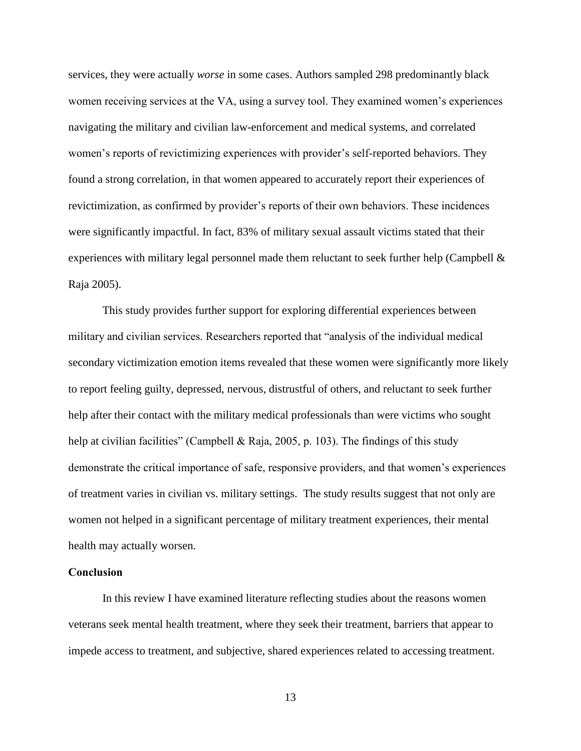services, they were actually *worse* in some cases. Authors sampled 298 predominantly black women receiving services at the VA, using a survey tool. They examined women's experiences navigating the military and civilian law-enforcement and medical systems, and correlated women's reports of revictimizing experiences with provider's self*-*reported behaviors. They found a strong correlation, in that women appeared to accurately report their experiences of revictimization, as confirmed by provider's reports of their own behaviors. These incidences were significantly impactful. In fact, 83% of military sexual assault victims stated that their experiences with military legal personnel made them reluctant to seek further help (Campbell  $\&$ Raja 2005).

This study provides further support for exploring differential experiences between military and civilian services. Researchers reported that "analysis of the individual medical secondary victimization emotion items revealed that these women were significantly more likely to report feeling guilty, depressed, nervous, distrustful of others, and reluctant to seek further help after their contact with the military medical professionals than were victims who sought help at civilian facilities" (Campbell & Raja, 2005, p. 103). The findings of this study demonstrate the critical importance of safe, responsive providers, and that women's experiences of treatment varies in civilian vs. military settings. The study results suggest that not only are women not helped in a significant percentage of military treatment experiences, their mental health may actually worsen.

#### **Conclusion**

In this review I have examined literature reflecting studies about the reasons women veterans seek mental health treatment, where they seek their treatment, barriers that appear to impede access to treatment, and subjective, shared experiences related to accessing treatment.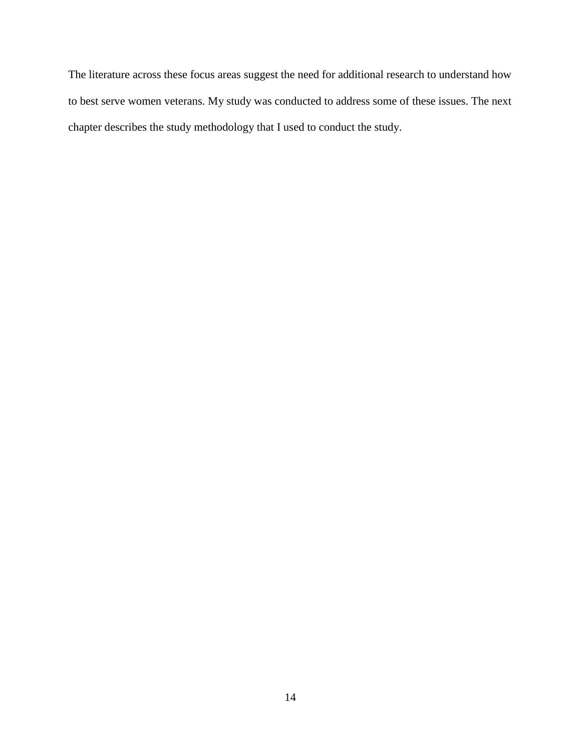The literature across these focus areas suggest the need for additional research to understand how to best serve women veterans. My study was conducted to address some of these issues. The next chapter describes the study methodology that I used to conduct the study.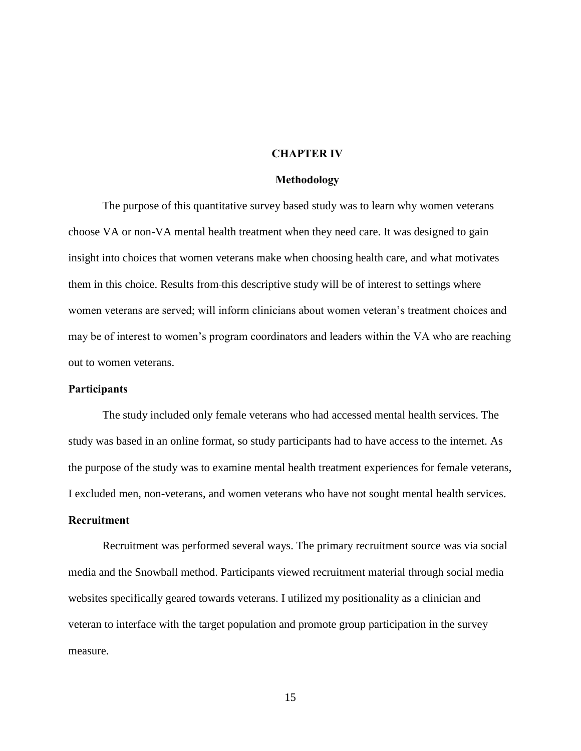#### **CHAPTER IV**

#### **Methodology**

The purpose of this quantitative survey based study was to learn why women veterans choose VA or non-VA mental health treatment when they need care. It was designed to gain insight into choices that women veterans make when choosing health care, and what motivates them in this choice. Results from this descriptive study will be of interest to settings where women veterans are served; will inform clinicians about women veteran's treatment choices and may be of interest to women's program coordinators and leaders within the VA who are reaching out to women veterans.

#### **Participants**

The study included only female veterans who had accessed mental health services. The study was based in an online format, so study participants had to have access to the internet. As the purpose of the study was to examine mental health treatment experiences for female veterans, I excluded men, non-veterans, and women veterans who have not sought mental health services.

#### **Recruitment**

Recruitment was performed several ways. The primary recruitment source was via social media and the Snowball method. Participants viewed recruitment material through social media websites specifically geared towards veterans. I utilized my positionality as a clinician and veteran to interface with the target population and promote group participation in the survey measure.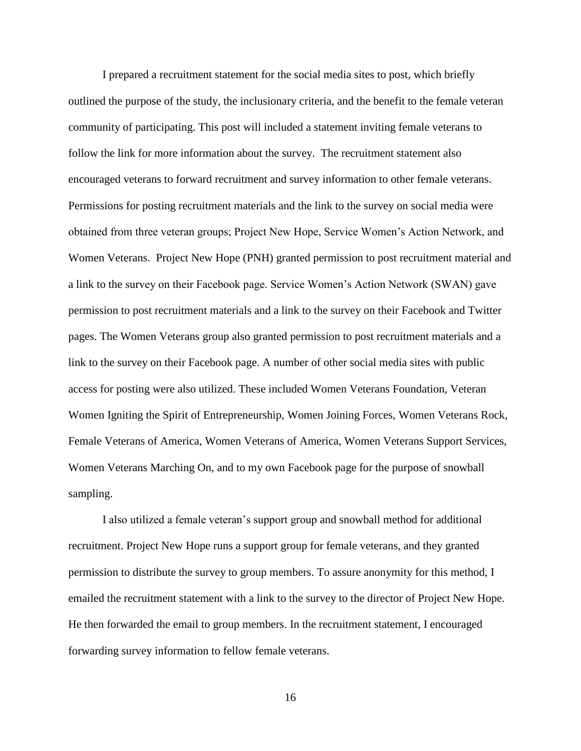I prepared a recruitment statement for the social media sites to post, which briefly outlined the purpose of the study, the inclusionary criteria, and the benefit to the female veteran community of participating. This post will included a statement inviting female veterans to follow the link for more information about the survey. The recruitment statement also encouraged veterans to forward recruitment and survey information to other female veterans. Permissions for posting recruitment materials and the link to the survey on social media were obtained from three veteran groups; Project New Hope, Service Women's Action Network, and Women Veterans. Project New Hope (PNH) granted permission to post recruitment material and a link to the survey on their Facebook page. Service Women's Action Network (SWAN) gave permission to post recruitment materials and a link to the survey on their Facebook and Twitter pages. The Women Veterans group also granted permission to post recruitment materials and a link to the survey on their Facebook page. A number of other social media sites with public access for posting were also utilized. These included Women Veterans Foundation, Veteran Women Igniting the Spirit of Entrepreneurship, Women Joining Forces, Women Veterans Rock, Female Veterans of America, Women Veterans of America, Women Veterans Support Services, Women Veterans Marching On, and to my own Facebook page for the purpose of snowball sampling.

I also utilized a female veteran's support group and snowball method for additional recruitment. Project New Hope runs a support group for female veterans, and they granted permission to distribute the survey to group members. To assure anonymity for this method, I emailed the recruitment statement with a link to the survey to the director of Project New Hope. He then forwarded the email to group members. In the recruitment statement, I encouraged forwarding survey information to fellow female veterans.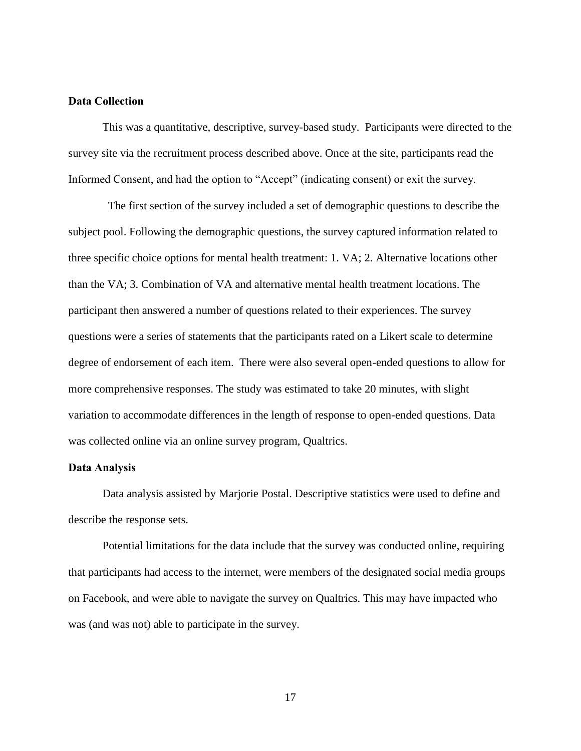## **Data Collection**

This was a quantitative, descriptive, survey-based study. Participants were directed to the survey site via the recruitment process described above. Once at the site, participants read the Informed Consent, and had the option to "Accept" (indicating consent) or exit the survey.

 The first section of the survey included a set of demographic questions to describe the subject pool. Following the demographic questions, the survey captured information related to three specific choice options for mental health treatment: 1. VA; 2. Alternative locations other than the VA; 3. Combination of VA and alternative mental health treatment locations. The participant then answered a number of questions related to their experiences. The survey questions were a series of statements that the participants rated on a Likert scale to determine degree of endorsement of each item. There were also several open-ended questions to allow for more comprehensive responses. The study was estimated to take 20 minutes, with slight variation to accommodate differences in the length of response to open-ended questions. Data was collected online via an online survey program, Qualtrics.

## **Data Analysis**

Data analysis assisted by Marjorie Postal. Descriptive statistics were used to define and describe the response sets.

 Potential limitations for the data include that the survey was conducted online, requiring that participants had access to the internet, were members of the designated social media groups on Facebook, and were able to navigate the survey on Qualtrics. This may have impacted who was (and was not) able to participate in the survey.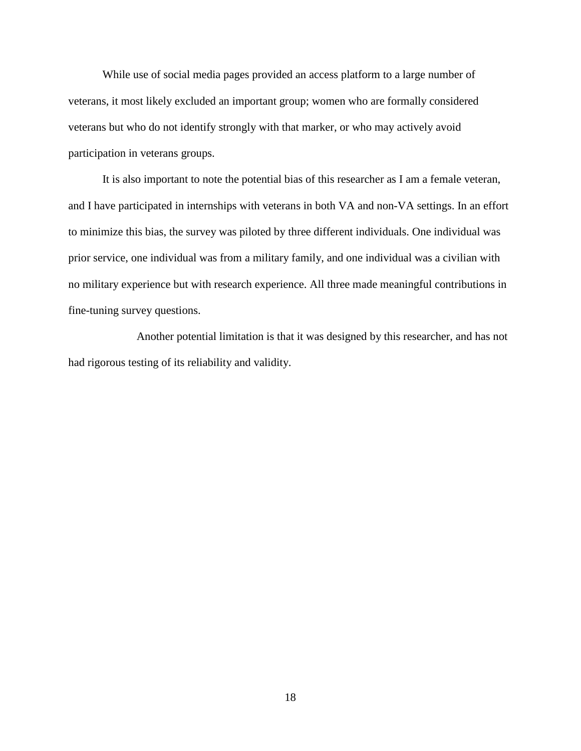While use of social media pages provided an access platform to a large number of veterans, it most likely excluded an important group; women who are formally considered veterans but who do not identify strongly with that marker, or who may actively avoid participation in veterans groups.

 It is also important to note the potential bias of this researcher as I am a female veteran, and I have participated in internships with veterans in both VA and non-VA settings. In an effort to minimize this bias, the survey was piloted by three different individuals. One individual was prior service, one individual was from a military family, and one individual was a civilian with no military experience but with research experience. All three made meaningful contributions in fine-tuning survey questions.

 Another potential limitation is that it was designed by this researcher, and has not had rigorous testing of its reliability and validity.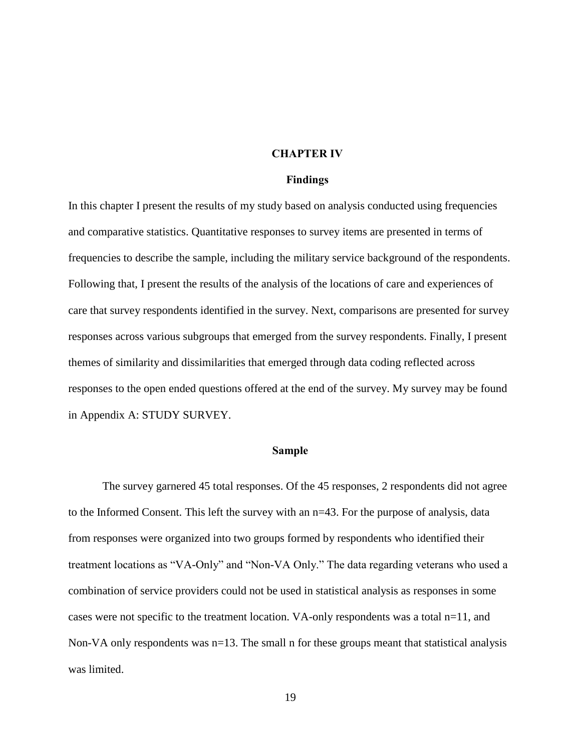#### **CHAPTER IV**

#### **Findings**

In this chapter I present the results of my study based on analysis conducted using frequencies and comparative statistics. Quantitative responses to survey items are presented in terms of frequencies to describe the sample, including the military service background of the respondents. Following that, I present the results of the analysis of the locations of care and experiences of care that survey respondents identified in the survey. Next, comparisons are presented for survey responses across various subgroups that emerged from the survey respondents. Finally, I present themes of similarity and dissimilarities that emerged through data coding reflected across responses to the open ended questions offered at the end of the survey. My survey may be found in Appendix A: STUDY SURVEY.

## **Sample**

 The survey garnered 45 total responses. Of the 45 responses, 2 respondents did not agree to the Informed Consent. This left the survey with an n=43. For the purpose of analysis, data from responses were organized into two groups formed by respondents who identified their treatment locations as "VA-Only" and "Non-VA Only." The data regarding veterans who used a combination of service providers could not be used in statistical analysis as responses in some cases were not specific to the treatment location. VA-only respondents was a total  $n=11$ , and Non-VA only respondents was n=13. The small n for these groups meant that statistical analysis was limited.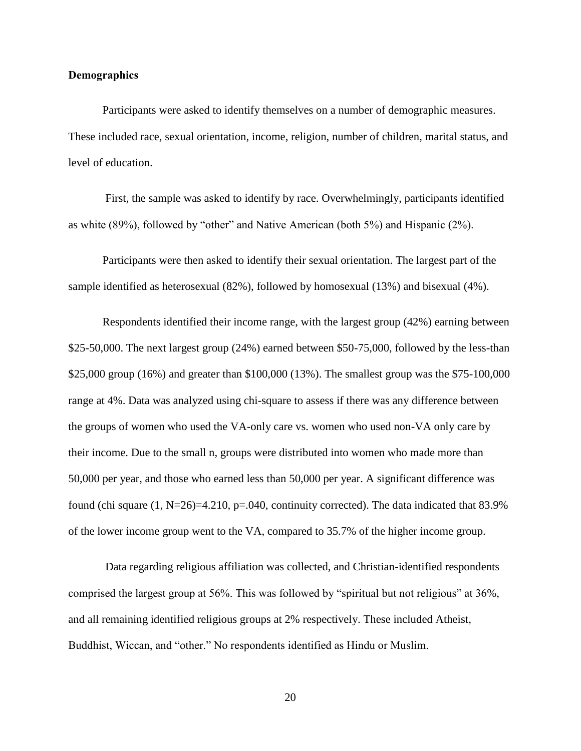## **Demographics**

 Participants were asked to identify themselves on a number of demographic measures. These included race, sexual orientation, income, religion, number of children, marital status, and level of education.

First, the sample was asked to identify by race. Overwhelmingly, participants identified as white (89%), followed by "other" and Native American (both 5%) and Hispanic (2%).

 Participants were then asked to identify their sexual orientation. The largest part of the sample identified as heterosexual (82%), followed by homosexual (13%) and bisexual (4%).

Respondents identified their income range, with the largest group (42%) earning between \$25-50,000. The next largest group (24%) earned between \$50-75,000, followed by the less-than \$25,000 group (16%) and greater than \$100,000 (13%). The smallest group was the \$75-100,000 range at 4%. Data was analyzed using chi-square to assess if there was any difference between the groups of women who used the VA-only care vs. women who used non-VA only care by their income. Due to the small n, groups were distributed into women who made more than 50,000 per year, and those who earned less than 50,000 per year. A significant difference was found (chi square  $(1, N=26)=4.210$ ,  $p=.040$ , continuity corrected). The data indicated that 83.9% of the lower income group went to the VA, compared to 35.7% of the higher income group.

 Data regarding religious affiliation was collected, and Christian-identified respondents comprised the largest group at 56%. This was followed by "spiritual but not religious" at 36%, and all remaining identified religious groups at 2% respectively. These included Atheist, Buddhist, Wiccan, and "other." No respondents identified as Hindu or Muslim.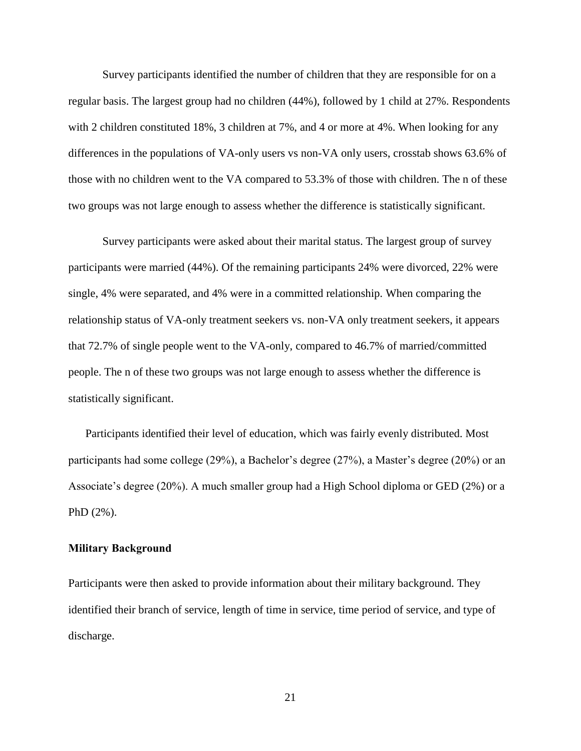Survey participants identified the number of children that they are responsible for on a regular basis. The largest group had no children (44%), followed by 1 child at 27%. Respondents with 2 children constituted 18%, 3 children at 7%, and 4 or more at 4%. When looking for any differences in the populations of VA-only users vs non-VA only users, crosstab shows 63.6% of those with no children went to the VA compared to 53.3% of those with children. The n of these two groups was not large enough to assess whether the difference is statistically significant.

 Survey participants were asked about their marital status. The largest group of survey participants were married (44%). Of the remaining participants 24% were divorced, 22% were single, 4% were separated, and 4% were in a committed relationship. When comparing the relationship status of VA-only treatment seekers vs. non-VA only treatment seekers, it appears that 72.7% of single people went to the VA-only, compared to 46.7% of married/committed people. The n of these two groups was not large enough to assess whether the difference is statistically significant.

Participants identified their level of education, which was fairly evenly distributed. Most participants had some college (29%), a Bachelor's degree (27%), a Master's degree (20%) or an Associate's degree (20%). A much smaller group had a High School diploma or GED (2%) or a PhD (2%).

## **Military Background**

Participants were then asked to provide information about their military background. They identified their branch of service, length of time in service, time period of service, and type of discharge.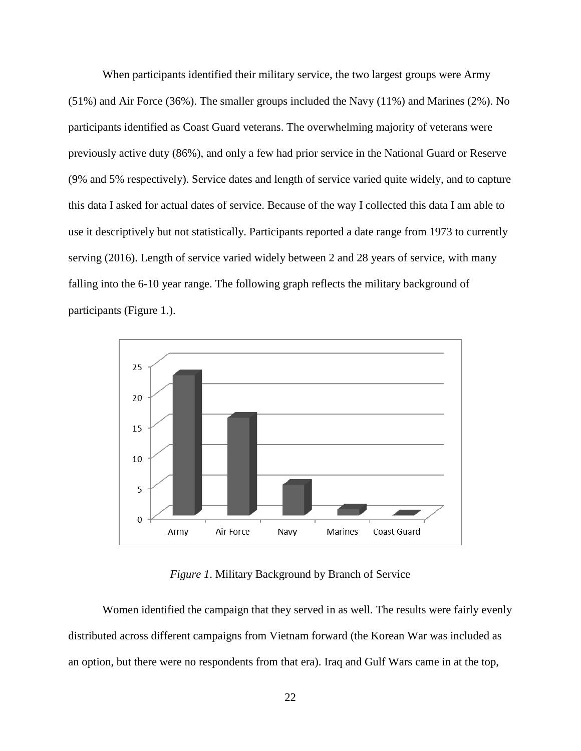When participants identified their military service, the two largest groups were Army (51%) and Air Force (36%). The smaller groups included the Navy (11%) and Marines (2%). No participants identified as Coast Guard veterans. The overwhelming majority of veterans were previously active duty (86%), and only a few had prior service in the National Guard or Reserve (9% and 5% respectively). Service dates and length of service varied quite widely, and to capture this data I asked for actual dates of service. Because of the way I collected this data I am able to use it descriptively but not statistically. Participants reported a date range from 1973 to currently serving (2016). Length of service varied widely between 2 and 28 years of service, with many falling into the 6-10 year range. The following graph reflects the military background of participants (Figure 1.).



*Figure 1*. Military Background by Branch of Service

Women identified the campaign that they served in as well. The results were fairly evenly distributed across different campaigns from Vietnam forward (the Korean War was included as an option, but there were no respondents from that era). Iraq and Gulf Wars came in at the top,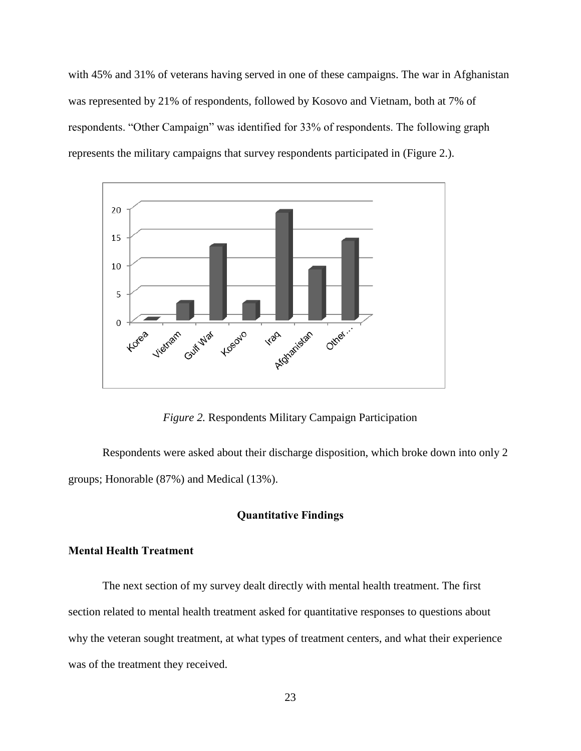with 45% and 31% of veterans having served in one of these campaigns. The war in Afghanistan was represented by 21% of respondents, followed by Kosovo and Vietnam, both at 7% of respondents. "Other Campaign" was identified for 33% of respondents. The following graph represents the military campaigns that survey respondents participated in (Figure 2.).



*Figure 2.* Respondents Military Campaign Participation

 Respondents were asked about their discharge disposition, which broke down into only 2 groups; Honorable (87%) and Medical (13%).

# **Quantitative Findings**

# **Mental Health Treatment**

 The next section of my survey dealt directly with mental health treatment. The first section related to mental health treatment asked for quantitative responses to questions about why the veteran sought treatment, at what types of treatment centers, and what their experience was of the treatment they received.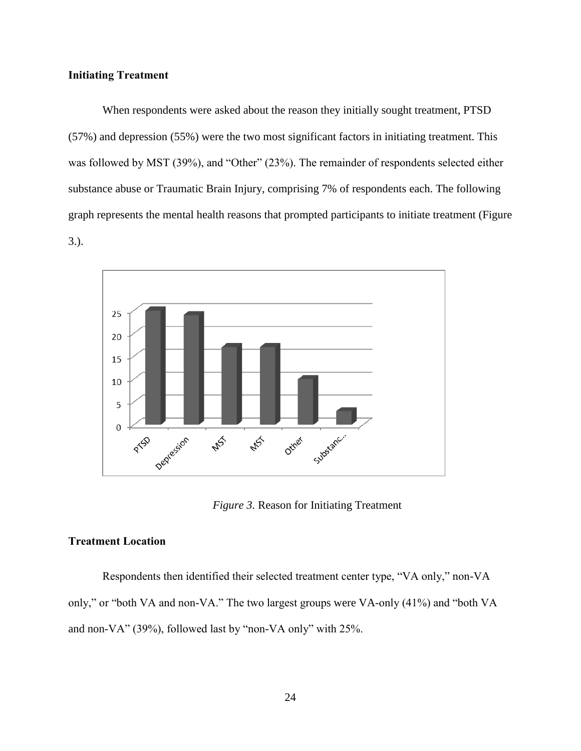# **Initiating Treatment**

When respondents were asked about the reason they initially sought treatment, PTSD (57%) and depression (55%) were the two most significant factors in initiating treatment. This was followed by MST (39%), and "Other" (23%). The remainder of respondents selected either substance abuse or Traumatic Brain Injury, comprising 7% of respondents each. The following graph represents the mental health reasons that prompted participants to initiate treatment (Figure 3.).



*Figure 3.* Reason for Initiating Treatment

## **Treatment Location**

Respondents then identified their selected treatment center type, "VA only," non-VA only," or "both VA and non-VA." The two largest groups were VA-only (41%) and "both VA and non-VA" (39%), followed last by "non-VA only" with 25%.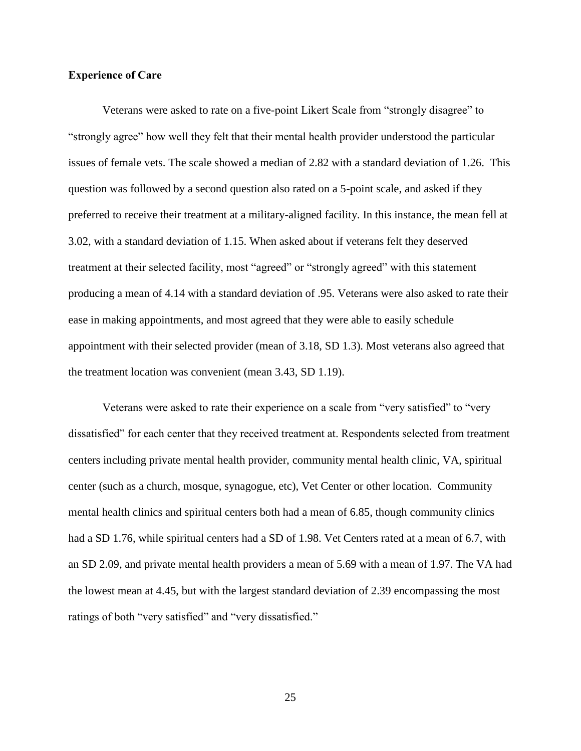## **Experience of Care**

Veterans were asked to rate on a five-point Likert Scale from "strongly disagree" to "strongly agree" how well they felt that their mental health provider understood the particular issues of female vets. The scale showed a median of 2.82 with a standard deviation of 1.26. This question was followed by a second question also rated on a 5-point scale, and asked if they preferred to receive their treatment at a military-aligned facility. In this instance, the mean fell at 3.02, with a standard deviation of 1.15. When asked about if veterans felt they deserved treatment at their selected facility, most "agreed" or "strongly agreed" with this statement producing a mean of 4.14 with a standard deviation of .95. Veterans were also asked to rate their ease in making appointments, and most agreed that they were able to easily schedule appointment with their selected provider (mean of 3.18, SD 1.3). Most veterans also agreed that the treatment location was convenient (mean 3.43, SD 1.19).

Veterans were asked to rate their experience on a scale from "very satisfied" to "very dissatisfied" for each center that they received treatment at. Respondents selected from treatment centers including private mental health provider, community mental health clinic, VA, spiritual center (such as a church, mosque, synagogue, etc), Vet Center or other location. Community mental health clinics and spiritual centers both had a mean of 6.85, though community clinics had a SD 1.76, while spiritual centers had a SD of 1.98. Vet Centers rated at a mean of 6.7, with an SD 2.09, and private mental health providers a mean of 5.69 with a mean of 1.97. The VA had the lowest mean at 4.45, but with the largest standard deviation of 2.39 encompassing the most ratings of both "very satisfied" and "very dissatisfied."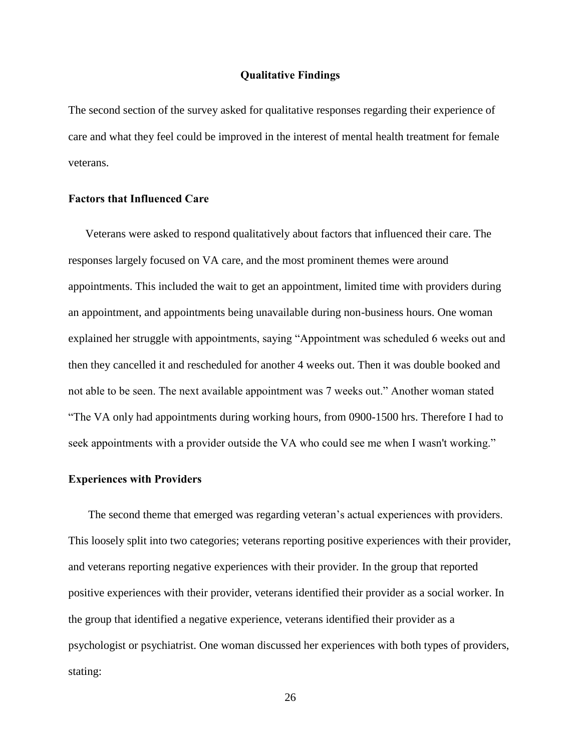## **Qualitative Findings**

The second section of the survey asked for qualitative responses regarding their experience of care and what they feel could be improved in the interest of mental health treatment for female veterans.

### **Factors that Influenced Care**

Veterans were asked to respond qualitatively about factors that influenced their care. The responses largely focused on VA care, and the most prominent themes were around appointments. This included the wait to get an appointment, limited time with providers during an appointment, and appointments being unavailable during non-business hours. One woman explained her struggle with appointments, saying "Appointment was scheduled 6 weeks out and then they cancelled it and rescheduled for another 4 weeks out. Then it was double booked and not able to be seen. The next available appointment was 7 weeks out." Another woman stated "The VA only had appointments during working hours, from 0900-1500 hrs. Therefore I had to seek appointments with a provider outside the VA who could see me when I wasn't working."

## **Experiences with Providers**

The second theme that emerged was regarding veteran's actual experiences with providers. This loosely split into two categories; veterans reporting positive experiences with their provider, and veterans reporting negative experiences with their provider. In the group that reported positive experiences with their provider, veterans identified their provider as a social worker. In the group that identified a negative experience, veterans identified their provider as a psychologist or psychiatrist. One woman discussed her experiences with both types of providers, stating: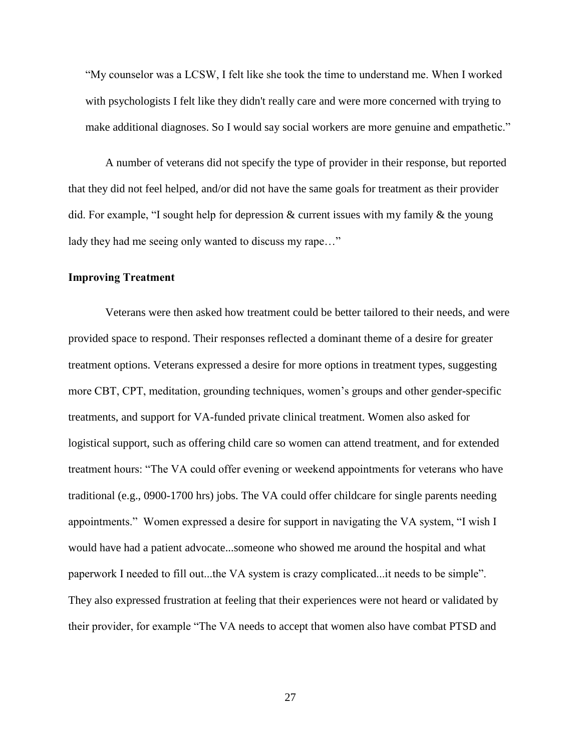"My counselor was a LCSW, I felt like she took the time to understand me. When I worked with psychologists I felt like they didn't really care and were more concerned with trying to make additional diagnoses. So I would say social workers are more genuine and empathetic."

 A number of veterans did not specify the type of provider in their response, but reported that they did not feel helped, and/or did not have the same goals for treatment as their provider did. For example, "I sought help for depression & current issues with my family & the young lady they had me seeing only wanted to discuss my rape..."

# **Improving Treatment**

 Veterans were then asked how treatment could be better tailored to their needs, and were provided space to respond. Their responses reflected a dominant theme of a desire for greater treatment options. Veterans expressed a desire for more options in treatment types, suggesting more CBT, CPT, meditation, grounding techniques, women's groups and other gender-specific treatments, and support for VA-funded private clinical treatment. Women also asked for logistical support, such as offering child care so women can attend treatment, and for extended treatment hours: "The VA could offer evening or weekend appointments for veterans who have traditional (e.g., 0900-1700 hrs) jobs. The VA could offer childcare for single parents needing appointments." Women expressed a desire for support in navigating the VA system, "I wish I would have had a patient advocate...someone who showed me around the hospital and what paperwork I needed to fill out...the VA system is crazy complicated...it needs to be simple". They also expressed frustration at feeling that their experiences were not heard or validated by their provider, for example "The VA needs to accept that women also have combat PTSD and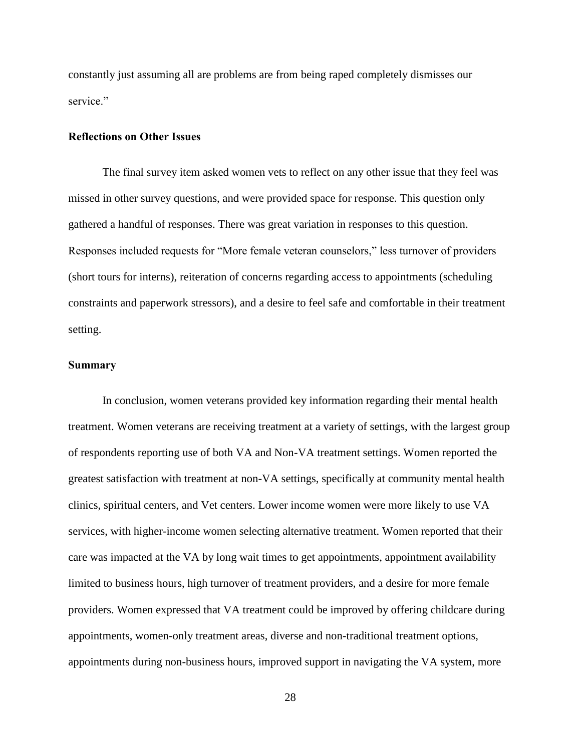constantly just assuming all are problems are from being raped completely dismisses our service<sup>"</sup>

#### **Reflections on Other Issues**

 The final survey item asked women vets to reflect on any other issue that they feel was missed in other survey questions, and were provided space for response. This question only gathered a handful of responses. There was great variation in responses to this question. Responses included requests for "More female veteran counselors," less turnover of providers (short tours for interns), reiteration of concerns regarding access to appointments (scheduling constraints and paperwork stressors), and a desire to feel safe and comfortable in their treatment setting.

# **Summary**

In conclusion, women veterans provided key information regarding their mental health treatment. Women veterans are receiving treatment at a variety of settings, with the largest group of respondents reporting use of both VA and Non-VA treatment settings. Women reported the greatest satisfaction with treatment at non-VA settings, specifically at community mental health clinics, spiritual centers, and Vet centers. Lower income women were more likely to use VA services, with higher-income women selecting alternative treatment. Women reported that their care was impacted at the VA by long wait times to get appointments, appointment availability limited to business hours, high turnover of treatment providers, and a desire for more female providers. Women expressed that VA treatment could be improved by offering childcare during appointments, women-only treatment areas, diverse and non-traditional treatment options, appointments during non-business hours, improved support in navigating the VA system, more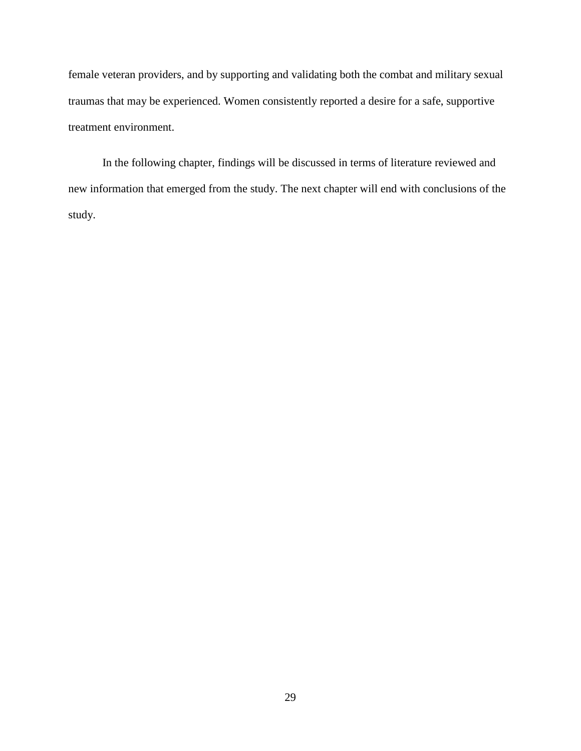female veteran providers, and by supporting and validating both the combat and military sexual traumas that may be experienced. Women consistently reported a desire for a safe, supportive treatment environment.

In the following chapter, findings will be discussed in terms of literature reviewed and new information that emerged from the study. The next chapter will end with conclusions of the study.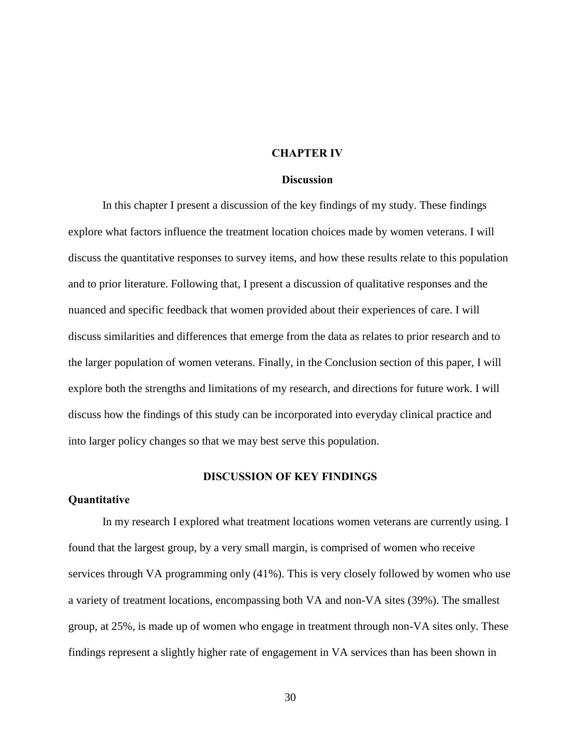#### **CHAPTER IV**

#### **Discussion**

In this chapter I present a discussion of the key findings of my study. These findings explore what factors influence the treatment location choices made by women veterans. I will discuss the quantitative responses to survey items, and how these results relate to this population and to prior literature. Following that, I present a discussion of qualitative responses and the nuanced and specific feedback that women provided about their experiences of care. I will discuss similarities and differences that emerge from the data as relates to prior research and to the larger population of women veterans. Finally, in the Conclusion section of this paper, I will explore both the strengths and limitations of my research, and directions for future work. I will discuss how the findings of this study can be incorporated into everyday clinical practice and into larger policy changes so that we may best serve this population.

# **DISCUSSION OF KEY FINDINGS**

#### **Quantitative**

In my research I explored what treatment locations women veterans are currently using. I found that the largest group, by a very small margin, is comprised of women who receive services through VA programming only (41%). This is very closely followed by women who use a variety of treatment locations, encompassing both VA and non-VA sites (39%). The smallest group, at 25%, is made up of women who engage in treatment through non-VA sites only. These findings represent a slightly higher rate of engagement in VA services than has been shown in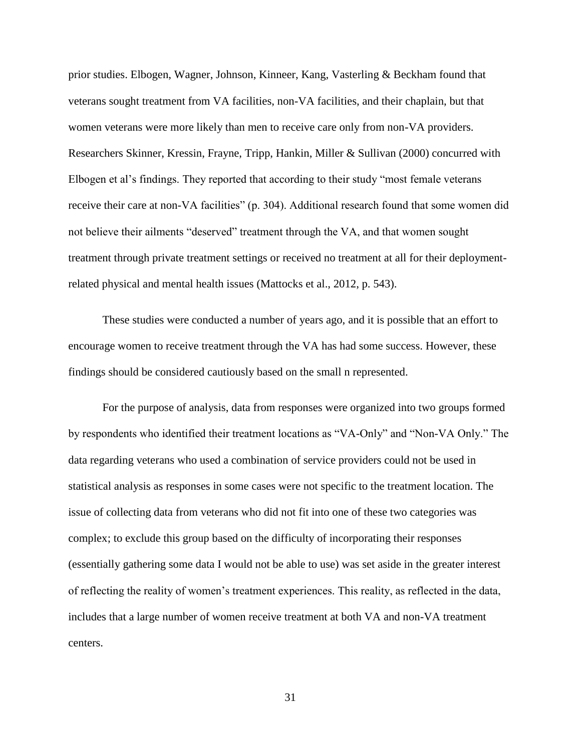prior studies. Elbogen, Wagner, Johnson, Kinneer, Kang, Vasterling & Beckham found that veterans sought treatment from VA facilities, non-VA facilities, and their chaplain, but that women veterans were more likely than men to receive care only from non-VA providers. Researchers Skinner, Kressin, Frayne, Tripp, Hankin, Miller & Sullivan (2000) concurred with Elbogen et al's findings. They reported that according to their study "most female veterans receive their care at non-VA facilities" (p. 304). Additional research found that some women did not believe their ailments "deserved" treatment through the VA, and that women sought treatment through private treatment settings or received no treatment at all for their deploymentrelated physical and mental health issues (Mattocks et al., 2012, p. 543).

These studies were conducted a number of years ago, and it is possible that an effort to encourage women to receive treatment through the VA has had some success. However, these findings should be considered cautiously based on the small n represented.

For the purpose of analysis, data from responses were organized into two groups formed by respondents who identified their treatment locations as "VA-Only" and "Non-VA Only." The data regarding veterans who used a combination of service providers could not be used in statistical analysis as responses in some cases were not specific to the treatment location. The issue of collecting data from veterans who did not fit into one of these two categories was complex; to exclude this group based on the difficulty of incorporating their responses (essentially gathering some data I would not be able to use) was set aside in the greater interest of reflecting the reality of women's treatment experiences. This reality, as reflected in the data, includes that a large number of women receive treatment at both VA and non-VA treatment centers.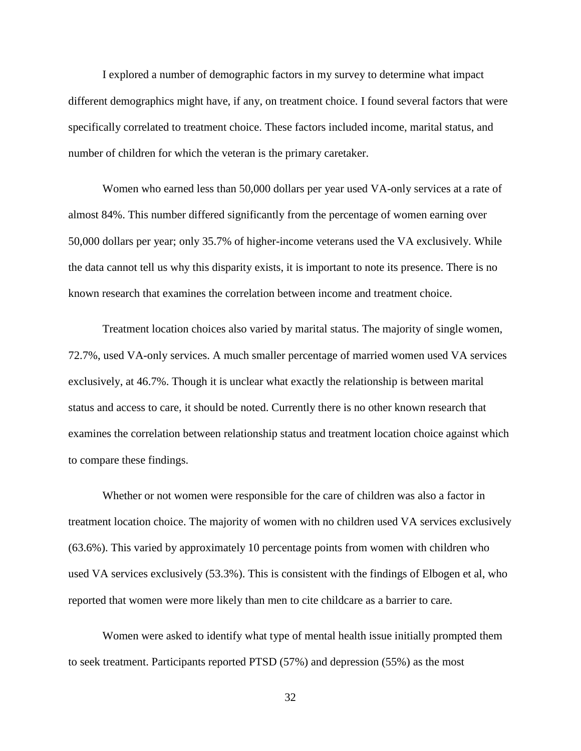I explored a number of demographic factors in my survey to determine what impact different demographics might have, if any, on treatment choice. I found several factors that were specifically correlated to treatment choice. These factors included income, marital status, and number of children for which the veteran is the primary caretaker.

 Women who earned less than 50,000 dollars per year used VA-only services at a rate of almost 84%. This number differed significantly from the percentage of women earning over 50,000 dollars per year; only 35.7% of higher-income veterans used the VA exclusively. While the data cannot tell us why this disparity exists, it is important to note its presence. There is no known research that examines the correlation between income and treatment choice.

 Treatment location choices also varied by marital status. The majority of single women, 72.7%, used VA-only services. A much smaller percentage of married women used VA services exclusively, at 46.7%. Though it is unclear what exactly the relationship is between marital status and access to care, it should be noted. Currently there is no other known research that examines the correlation between relationship status and treatment location choice against which to compare these findings.

 Whether or not women were responsible for the care of children was also a factor in treatment location choice. The majority of women with no children used VA services exclusively (63.6%). This varied by approximately 10 percentage points from women with children who used VA services exclusively (53.3%). This is consistent with the findings of Elbogen et al, who reported that women were more likely than men to cite childcare as a barrier to care.

Women were asked to identify what type of mental health issue initially prompted them to seek treatment. Participants reported PTSD (57%) and depression (55%) as the most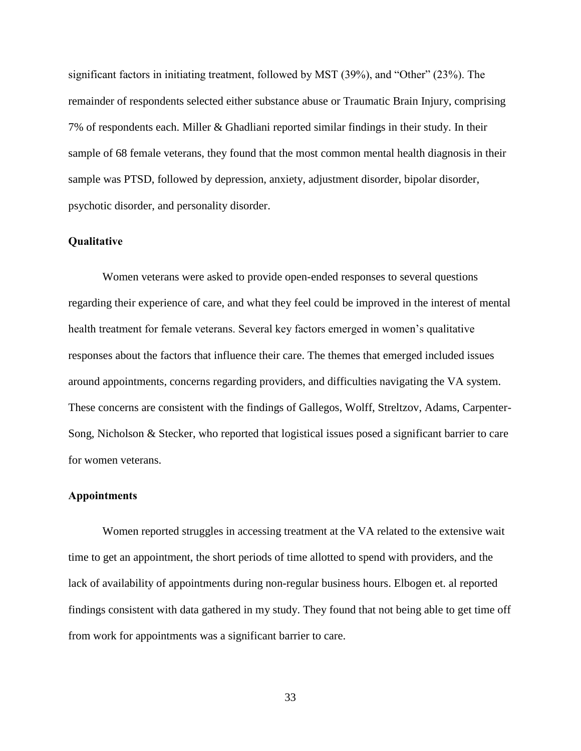significant factors in initiating treatment, followed by MST (39%), and "Other" (23%). The remainder of respondents selected either substance abuse or Traumatic Brain Injury, comprising 7% of respondents each. Miller & Ghadliani reported similar findings in their study. In their sample of 68 female veterans, they found that the most common mental health diagnosis in their sample was PTSD, followed by depression, anxiety, adjustment disorder, bipolar disorder, psychotic disorder, and personality disorder.

# **Qualitative**

Women veterans were asked to provide open-ended responses to several questions regarding their experience of care, and what they feel could be improved in the interest of mental health treatment for female veterans. Several key factors emerged in women's qualitative responses about the factors that influence their care. The themes that emerged included issues around appointments, concerns regarding providers, and difficulties navigating the VA system. These concerns are consistent with the findings of Gallegos, Wolff, Streltzov, Adams, Carpenter-Song, Nicholson & Stecker, who reported that logistical issues posed a significant barrier to care for women veterans.

## **Appointments**

Women reported struggles in accessing treatment at the VA related to the extensive wait time to get an appointment, the short periods of time allotted to spend with providers, and the lack of availability of appointments during non-regular business hours. Elbogen et. al reported findings consistent with data gathered in my study. They found that not being able to get time off from work for appointments was a significant barrier to care.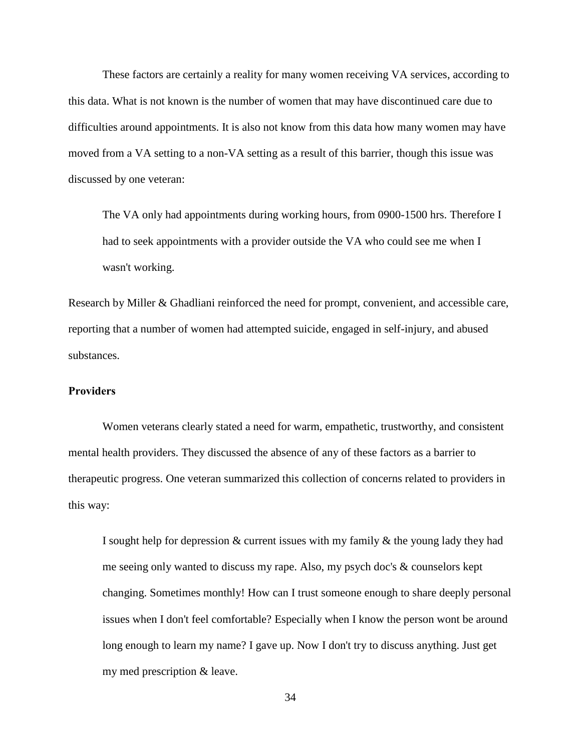These factors are certainly a reality for many women receiving VA services, according to this data. What is not known is the number of women that may have discontinued care due to difficulties around appointments. It is also not know from this data how many women may have moved from a VA setting to a non-VA setting as a result of this barrier, though this issue was discussed by one veteran:

The VA only had appointments during working hours, from 0900-1500 hrs. Therefore I had to seek appointments with a provider outside the VA who could see me when I wasn't working.

Research by Miller & Ghadliani reinforced the need for prompt, convenient, and accessible care, reporting that a number of women had attempted suicide, engaged in self-injury, and abused substances.

# **Providers**

 Women veterans clearly stated a need for warm, empathetic, trustworthy, and consistent mental health providers. They discussed the absence of any of these factors as a barrier to therapeutic progress. One veteran summarized this collection of concerns related to providers in this way:

I sought help for depression  $\&$  current issues with my family  $\&$  the young lady they had me seeing only wanted to discuss my rape. Also, my psych doc's & counselors kept changing. Sometimes monthly! How can I trust someone enough to share deeply personal issues when I don't feel comfortable? Especially when I know the person wont be around long enough to learn my name? I gave up. Now I don't try to discuss anything. Just get my med prescription & leave.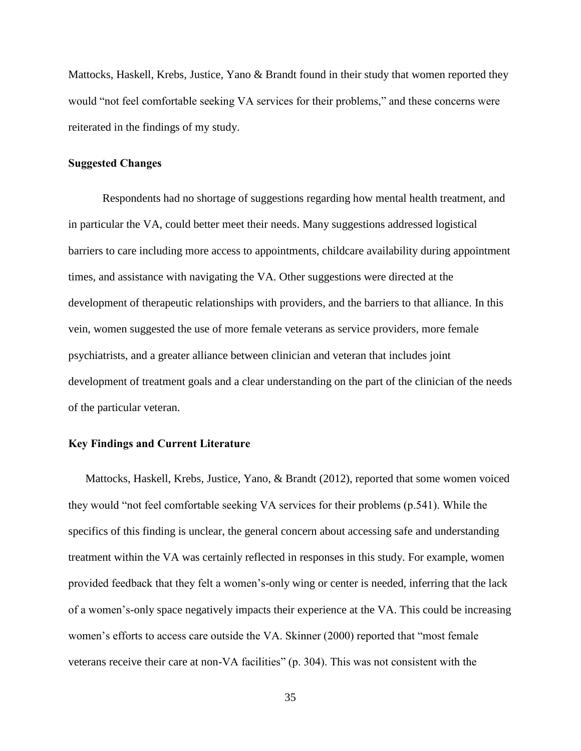Mattocks, Haskell, Krebs, Justice, Yano & Brandt found in their study that women reported they would "not feel comfortable seeking VA services for their problems," and these concerns were reiterated in the findings of my study.

## **Suggested Changes**

 Respondents had no shortage of suggestions regarding how mental health treatment, and in particular the VA, could better meet their needs. Many suggestions addressed logistical barriers to care including more access to appointments, childcare availability during appointment times, and assistance with navigating the VA. Other suggestions were directed at the development of therapeutic relationships with providers, and the barriers to that alliance. In this vein, women suggested the use of more female veterans as service providers, more female psychiatrists, and a greater alliance between clinician and veteran that includes joint development of treatment goals and a clear understanding on the part of the clinician of the needs of the particular veteran.

# **Key Findings and Current Literature**

Mattocks, Haskell, Krebs, Justice, Yano, & Brandt (2012), reported that some women voiced they would "not feel comfortable seeking VA services for their problems (p.541). While the specifics of this finding is unclear, the general concern about accessing safe and understanding treatment within the VA was certainly reflected in responses in this study. For example, women provided feedback that they felt a women's-only wing or center is needed, inferring that the lack of a women's-only space negatively impacts their experience at the VA. This could be increasing women's efforts to access care outside the VA. Skinner (2000) reported that "most female veterans receive their care at non-VA facilities" (p. 304). This was not consistent with the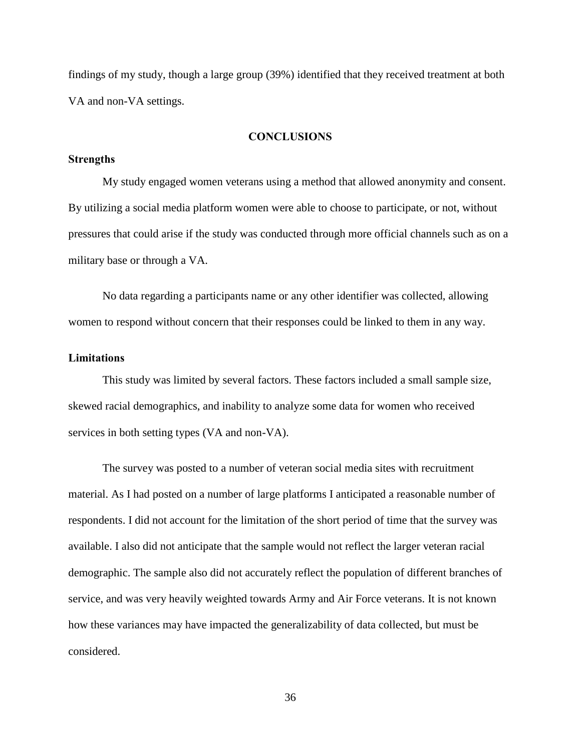findings of my study, though a large group (39%) identified that they received treatment at both VA and non-VA settings.

# **CONCLUSIONS**

## **Strengths**

My study engaged women veterans using a method that allowed anonymity and consent. By utilizing a social media platform women were able to choose to participate, or not, without pressures that could arise if the study was conducted through more official channels such as on a military base or through a VA.

 No data regarding a participants name or any other identifier was collected, allowing women to respond without concern that their responses could be linked to them in any way.

## **Limitations**

This study was limited by several factors. These factors included a small sample size, skewed racial demographics, and inability to analyze some data for women who received services in both setting types (VA and non-VA).

 The survey was posted to a number of veteran social media sites with recruitment material. As I had posted on a number of large platforms I anticipated a reasonable number of respondents. I did not account for the limitation of the short period of time that the survey was available. I also did not anticipate that the sample would not reflect the larger veteran racial demographic. The sample also did not accurately reflect the population of different branches of service, and was very heavily weighted towards Army and Air Force veterans. It is not known how these variances may have impacted the generalizability of data collected, but must be considered.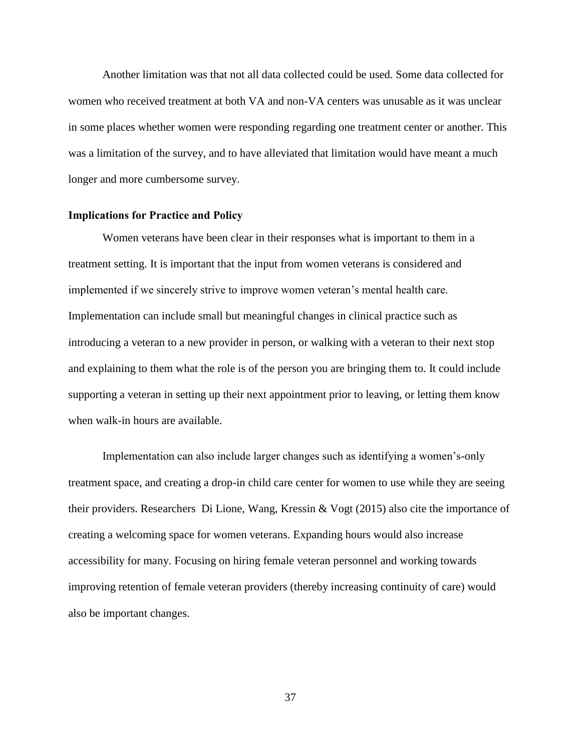Another limitation was that not all data collected could be used. Some data collected for women who received treatment at both VA and non-VA centers was unusable as it was unclear in some places whether women were responding regarding one treatment center or another. This was a limitation of the survey, and to have alleviated that limitation would have meant a much longer and more cumbersome survey.

#### **Implications for Practice and Policy**

Women veterans have been clear in their responses what is important to them in a treatment setting. It is important that the input from women veterans is considered and implemented if we sincerely strive to improve women veteran's mental health care. Implementation can include small but meaningful changes in clinical practice such as introducing a veteran to a new provider in person, or walking with a veteran to their next stop and explaining to them what the role is of the person you are bringing them to. It could include supporting a veteran in setting up their next appointment prior to leaving, or letting them know when walk-in hours are available.

Implementation can also include larger changes such as identifying a women's-only treatment space, and creating a drop-in child care center for women to use while they are seeing their providers. Researchers Di Lione, Wang, Kressin & Vogt (2015) also cite the importance of creating a welcoming space for women veterans. Expanding hours would also increase accessibility for many. Focusing on hiring female veteran personnel and working towards improving retention of female veteran providers (thereby increasing continuity of care) would also be important changes.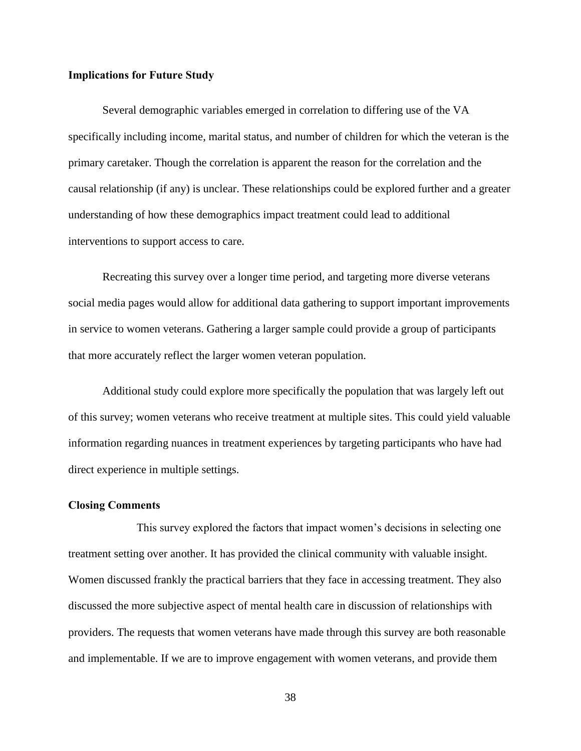## **Implications for Future Study**

Several demographic variables emerged in correlation to differing use of the VA specifically including income, marital status, and number of children for which the veteran is the primary caretaker. Though the correlation is apparent the reason for the correlation and the causal relationship (if any) is unclear. These relationships could be explored further and a greater understanding of how these demographics impact treatment could lead to additional interventions to support access to care.

Recreating this survey over a longer time period, and targeting more diverse veterans social media pages would allow for additional data gathering to support important improvements in service to women veterans. Gathering a larger sample could provide a group of participants that more accurately reflect the larger women veteran population.

 Additional study could explore more specifically the population that was largely left out of this survey; women veterans who receive treatment at multiple sites. This could yield valuable information regarding nuances in treatment experiences by targeting participants who have had direct experience in multiple settings.

#### **Closing Comments**

This survey explored the factors that impact women's decisions in selecting one treatment setting over another. It has provided the clinical community with valuable insight. Women discussed frankly the practical barriers that they face in accessing treatment. They also discussed the more subjective aspect of mental health care in discussion of relationships with providers. The requests that women veterans have made through this survey are both reasonable and implementable. If we are to improve engagement with women veterans, and provide them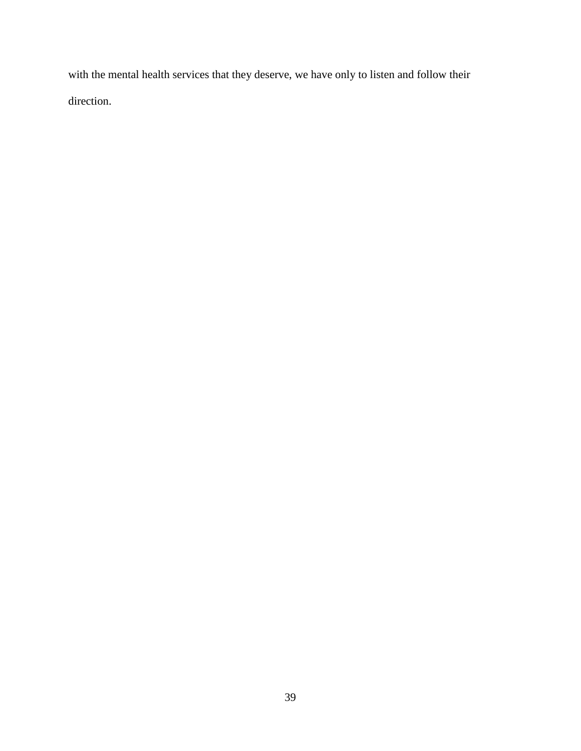with the mental health services that they deserve, we have only to listen and follow their direction.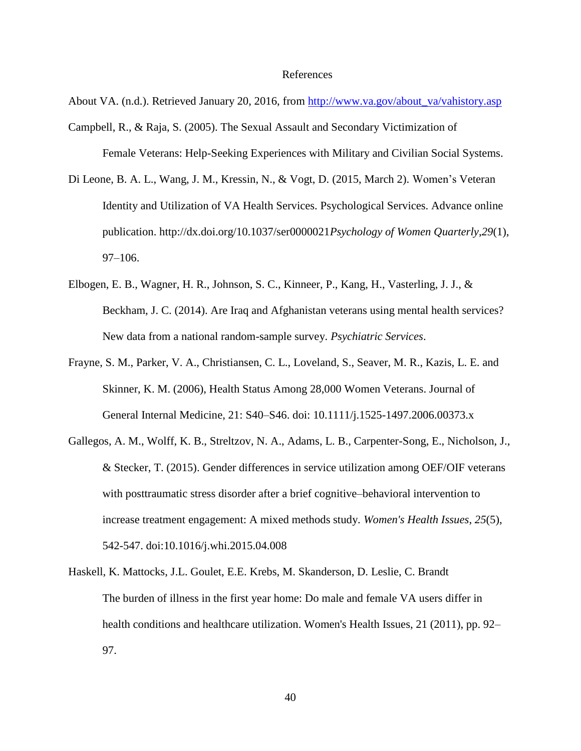#### References

About VA. (n.d.). Retrieved January 20, 2016, from [http://www.va.gov/about\\_va/vahistory.asp](http://www.va.gov/about_va/vahistory.asp)

- Campbell, R., & Raja, S. (2005). The Sexual Assault and Secondary Victimization of Female Veterans: Help-Seeking Experiences with Military and Civilian Social Systems.
- Di Leone, B. A. L., Wang, J. M., Kressin, N., & Vogt, D. (2015, March 2). Women's Veteran Identity and Utilization of VA Health Services. Psychological Services. Advance online publication. http://dx.doi.org/10.1037/ser0000021*Psychology of Women Quarterly*,*29*(1), 97–106.
- Elbogen, E. B., Wagner, H. R., Johnson, S. C., Kinneer, P., Kang, H., Vasterling, J. J., & Beckham, J. C. (2014). Are Iraq and Afghanistan veterans using mental health services? New data from a national random-sample survey. *Psychiatric Services*.
- Frayne, S. M., Parker, V. A., Christiansen, C. L., Loveland, S., Seaver, M. R., Kazis, L. E. and Skinner, K. M. (2006), Health Status Among 28,000 Women Veterans. Journal of General Internal Medicine, 21: S40–S46. doi: 10.1111/j.1525-1497.2006.00373.x
- Gallegos, A. M., Wolff, K. B., Streltzov, N. A., Adams, L. B., Carpenter-Song, E., Nicholson, J., & Stecker, T. (2015). Gender differences in service utilization among OEF/OIF veterans with posttraumatic stress disorder after a brief cognitive–behavioral intervention to increase treatment engagement: A mixed methods study. *Women's Health Issues*, *25*(5), 542-547. doi:10.1016/j.whi.2015.04.008
- Haskell, K. Mattocks, J.L. Goulet, E.E. Krebs, M. Skanderson, D. Leslie, C. Brandt The burden of illness in the first year home: Do male and female VA users differ in health conditions and healthcare utilization. Women's Health Issues, 21 (2011), pp. 92– 97.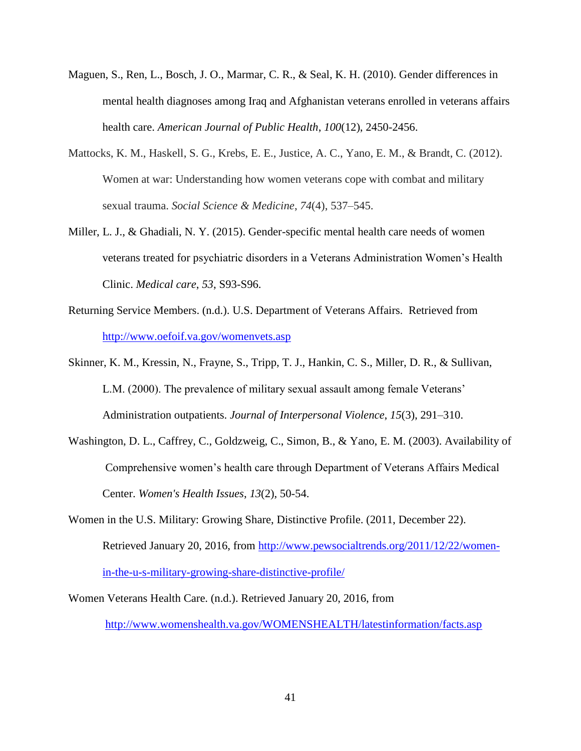- Maguen, S., Ren, L., Bosch, J. O., Marmar, C. R., & Seal, K. H. (2010). Gender differences in mental health diagnoses among Iraq and Afghanistan veterans enrolled in veterans affairs health care. *American Journal of Public Health*, *100*(12), 2450-2456.
- Mattocks, K. M., Haskell, S. G., Krebs, E. E., Justice, A. C., Yano, E. M., & Brandt, C. (2012). Women at war: Understanding how women veterans cope with combat and military sexual trauma. *Social Science & Medicine*, *74*(4), 537–545.
- Miller, L. J., & Ghadiali, N. Y. (2015). Gender-specific mental health care needs of women veterans treated for psychiatric disorders in a Veterans Administration Women's Health Clinic. *Medical care*, *53*, S93-S96.
- Returning Service Members. (n.d.). U.S. Department of Veterans Affairs. Retrieved from <http://www.oefoif.va.gov/womenvets.asp>
- Skinner, K. M., Kressin, N., Frayne, S., Tripp, T. J., Hankin, C. S., Miller, D. R., & Sullivan, L.M. (2000). The prevalence of military sexual assault among female Veterans' Administration outpatients. *Journal of Interpersonal Violence*, *15*(3), 291–310.
- Washington, D. L., Caffrey, C., Goldzweig, C., Simon, B., & Yano, E. M. (2003). Availability of Comprehensive women's health care through Department of Veterans Affairs Medical Center. *Women's Health Issues*, *13*(2), 50-54.
- Women in the U.S. Military: Growing Share, Distinctive Profile. (2011, December 22). Retrieved January 20, 2016, from [http://www.pewsocialtrends.org/2011/12/22/women](http://www.pewsocialtrends.org/2011/12/22/women-in-the-u-s-military-growing-share-distinctive-profile/)[in-the-u-s-military-growing-share-distinctive-profile/](http://www.pewsocialtrends.org/2011/12/22/women-in-the-u-s-military-growing-share-distinctive-profile/)
- Women Veterans Health Care. (n.d.). Retrieved January 20, 2016, from <http://www.womenshealth.va.gov/WOMENSHEALTH/latestinformation/facts.asp>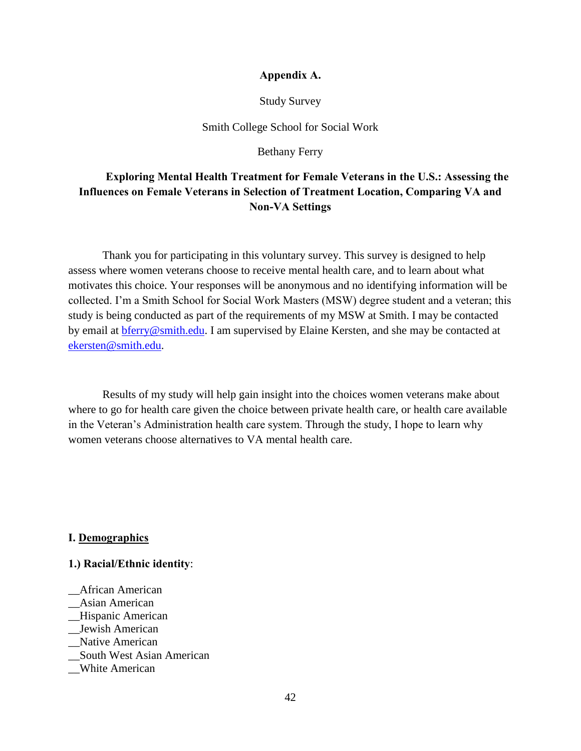# **Appendix A.**

## Study Survey

# Smith College School for Social Work

Bethany Ferry

# **Exploring Mental Health Treatment for Female Veterans in the U.S.: Assessing the Influences on Female Veterans in Selection of Treatment Location, Comparing VA and Non-VA Settings**

Thank you for participating in this voluntary survey. This survey is designed to help assess where women veterans choose to receive mental health care, and to learn about what motivates this choice. Your responses will be anonymous and no identifying information will be collected. I'm a Smith School for Social Work Masters (MSW) degree student and a veteran; this study is being conducted as part of the requirements of my MSW at Smith. I may be contacted by email at [bferry@smith.edu.](mailto:bferry@smith.edu) I am supervised by Elaine Kersten, and she may be contacted at [ekersten@smith.edu.](mailto:ekersten@smith.edu)

 Results of my study will help gain insight into the choices women veterans make about where to go for health care given the choice between private health care, or health care available in the Veteran's Administration health care system. Through the study, I hope to learn why women veterans choose alternatives to VA mental health care.

# **I. Demographics**

# **1.) Racial/Ethnic identity**:

\_\_African American \_\_Asian American \_\_Hispanic American \_\_Jewish American \_\_Native American \_\_South West Asian American \_\_White American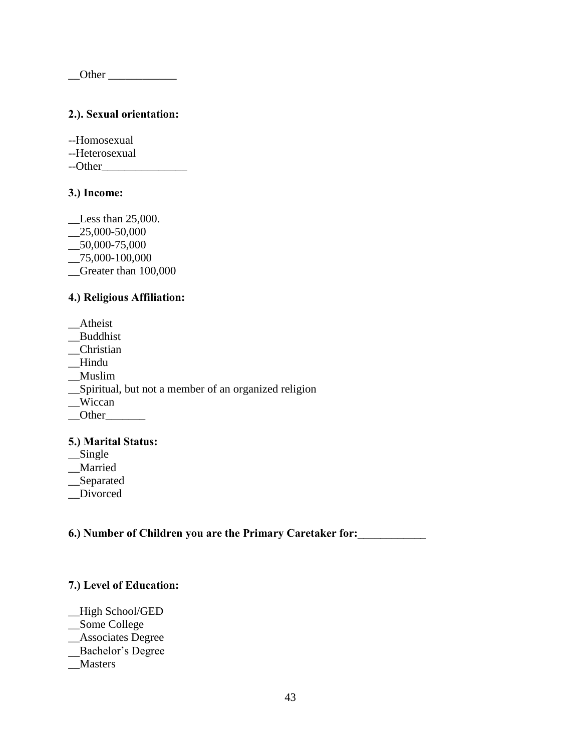$\sqrt{2}$ Other  $\sqrt{2}$ 

# **2.). Sexual orientation:**

--Homosexual --Heterosexual --Other\_\_\_\_\_\_\_\_\_\_\_\_\_\_\_

# **3.) Income:**

\_\_Less than 25,000. \_\_25,000-50,000 \_\_50,000-75,000 \_\_75,000-100,000 \_\_Greater than 100,000

# **4.) Religious Affiliation:**

\_\_Atheist \_\_Buddhist \_\_Christian \_\_Hindu \_\_Muslim \_\_Spiritual, but not a member of an organized religion \_\_Wiccan  $\underline{\hspace{1cm}}$ Other $\underline{\hspace{1cm}}$ 

# **5.) Marital Status:**

\_\_Single

\_\_Married

\_\_Separated

\_\_Divorced

**6.) Number of Children you are the Primary Caretaker for:\_\_\_\_\_\_\_\_\_\_\_\_** 

# **7.) Level of Education:**

\_\_High School/GED \_\_Some College \_\_Associates Degree \_\_Bachelor's Degree

\_\_Masters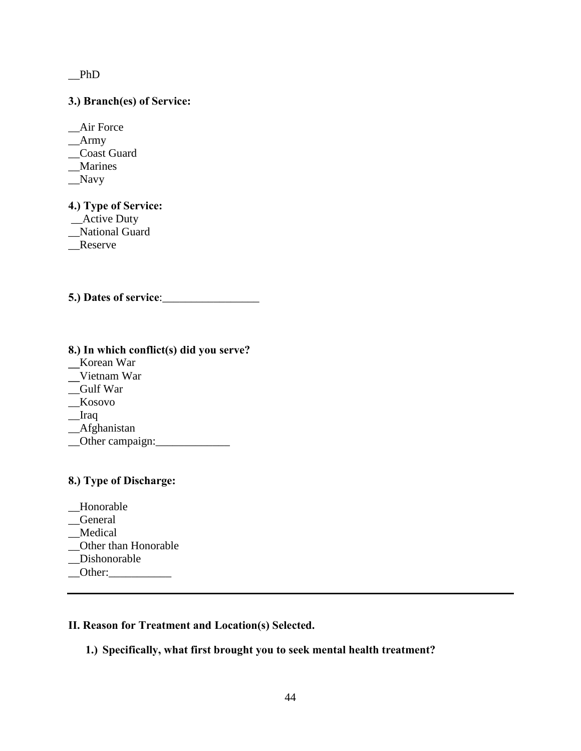$_{\text{phD}}$ 

# **3.) Branch(es) of Service:**

\_\_Air Force  $\_\$ {Arm} \_\_Coast Guard \_\_Marines \_\_Navy

**4.) Type of Service:**  \_Active Duty

- \_\_National Guard
- 
- \_\_Reserve

**5.) Dates of service**:\_\_\_\_\_\_\_\_\_\_\_\_\_\_\_\_\_

| 8.) In which conflict(s) did you serve? |
|-----------------------------------------|
| Korean War                              |
| Vietnam War                             |
| Gulf War                                |
| Kosovo                                  |
| Iraq                                    |
| _Afghanistan                            |
| Other campaign:                         |
|                                         |

# **8.) Type of Discharge:**

\_\_Honorable \_\_General \_\_Medical \_\_Other than Honorable Dishonorable  $\_$ Other: $\_$ 

# **II. Reason for Treatment and Location(s) Selected.**

# **1.) Specifically, what first brought you to seek mental health treatment?**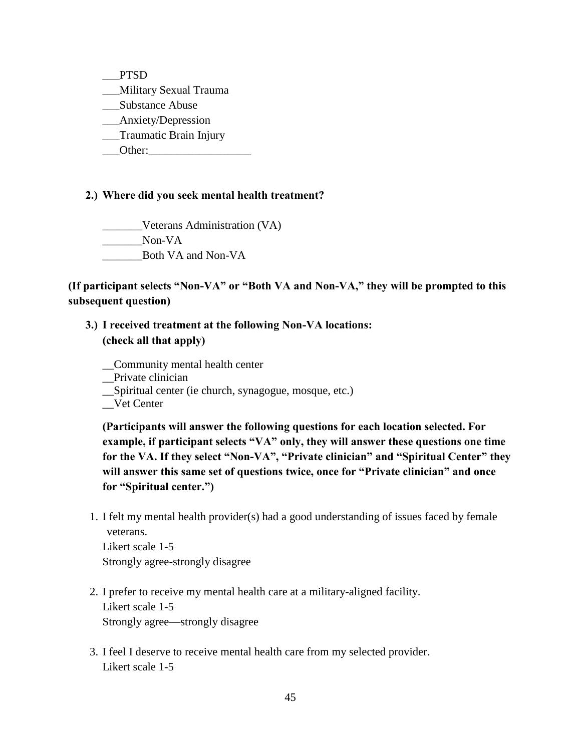\_\_\_PTSD \_\_\_Military Sexual Trauma \_\_\_Substance Abuse \_\_\_Anxiety/Depression \_\_\_Traumatic Brain Injury Other:

# **2.) Where did you seek mental health treatment?**

\_\_\_\_\_\_\_Veterans Administration (VA) Non-VA \_\_\_\_\_\_\_Both VA and Non-VA

**(If participant selects "Non-VA" or "Both VA and Non-VA," they will be prompted to this subsequent question)** 

# **3.) I received treatment at the following Non-VA locations: (check all that apply)**

\_\_Community mental health center

\_\_Private clinician

\_\_Spiritual center (ie church, synagogue, mosque, etc.)

\_\_Vet Center

**(Participants will answer the following questions for each location selected. For example, if participant selects "VA" only, they will answer these questions one time for the VA. If they select "Non-VA", "Private clinician" and "Spiritual Center" they will answer this same set of questions twice, once for "Private clinician" and once for "Spiritual center.")** 

1. I felt my mental health provider(s) had a good understanding of issues faced by female veterans.

Likert scale 1-5 Strongly agree-strongly disagree

- 2. I prefer to receive my mental health care at a military-aligned facility. Likert scale 1-5 Strongly agree—strongly disagree
- 3. I feel I deserve to receive mental health care from my selected provider. Likert scale 1-5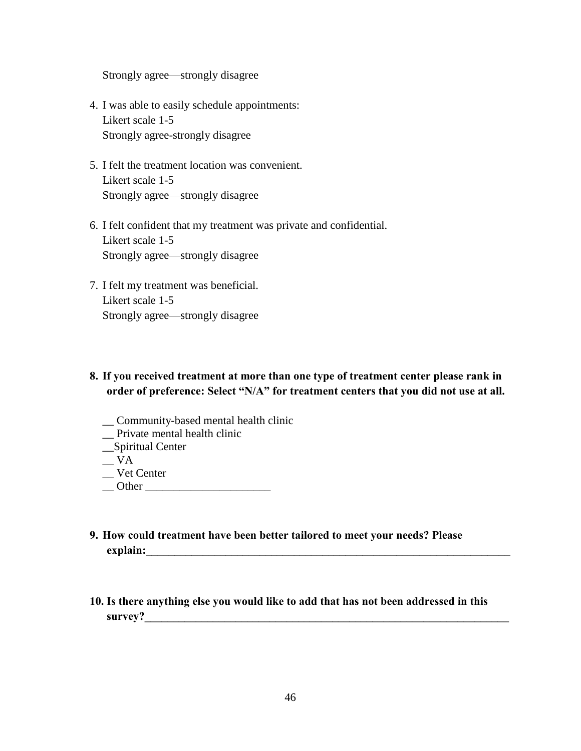Strongly agree—strongly disagree

- 4. I was able to easily schedule appointments: Likert scale 1-5 Strongly agree-strongly disagree
- 5. I felt the treatment location was convenient. Likert scale 1-5 Strongly agree—strongly disagree
- 6. I felt confident that my treatment was private and confidential. Likert scale 1-5 Strongly agree—strongly disagree
- 7. I felt my treatment was beneficial. Likert scale 1-5 Strongly agree—strongly disagree

# **8. If you received treatment at more than one type of treatment center please rank in order of preference: Select "N/A" for treatment centers that you did not use at all.**

- \_\_ Community-based mental health clinic
- \_\_ Private mental health clinic
- \_\_Spiritual Center
- $\overline{\mathsf{v}}$ A
- \_\_ Vet Center
- $\Box$  Other  $\Box$
- **9. How could treatment have been better tailored to meet your needs? Please explain:**
- **10. Is there anything else you would like to add that has not been addressed in this**  survey?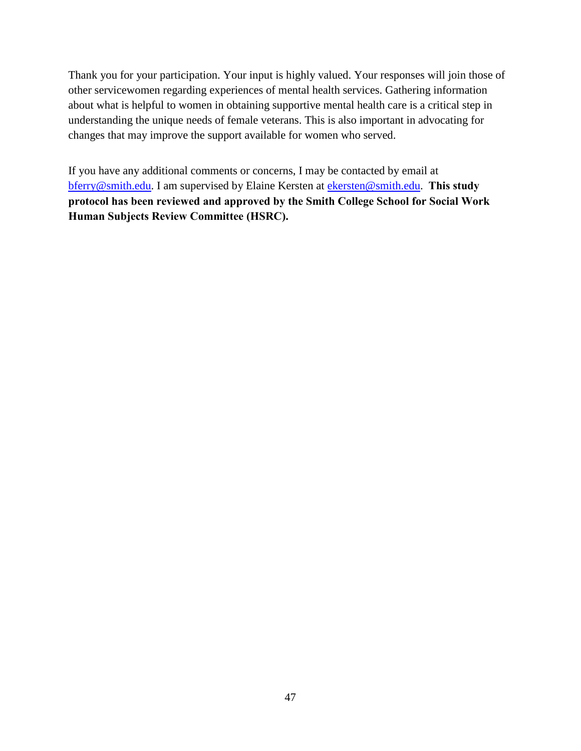Thank you for your participation. Your input is highly valued. Your responses will join those of other servicewomen regarding experiences of mental health services. Gathering information about what is helpful to women in obtaining supportive mental health care is a critical step in understanding the unique needs of female veterans. This is also important in advocating for changes that may improve the support available for women who served.

If you have any additional comments or concerns, I may be contacted by email at [bferry@smith.edu.](mailto:bferry@smith.edu) I am supervised by Elaine Kersten at [ekersten@smith.edu.](mailto:ekersten@smith.edu) **This study protocol has been reviewed and approved by the Smith College School for Social Work Human Subjects Review Committee (HSRC).**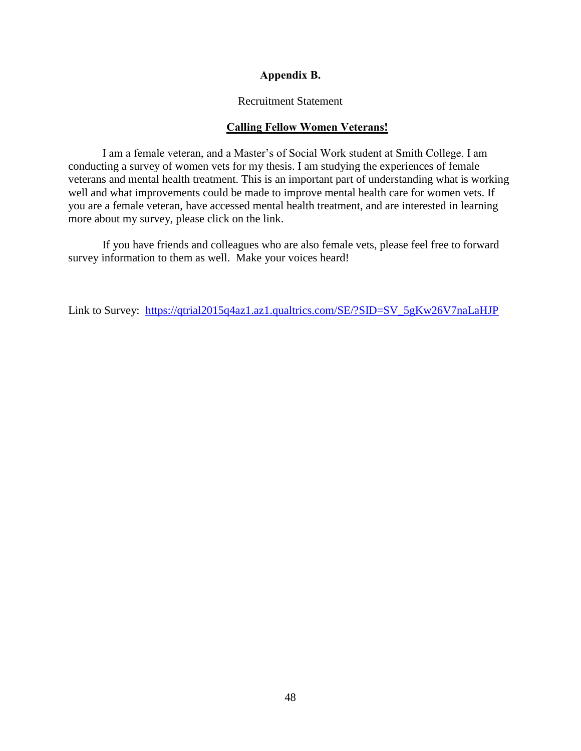# **Appendix B.**

# Recruitment Statement

# **Calling Fellow Women Veterans!**

I am a female veteran, and a Master's of Social Work student at Smith College. I am conducting a survey of women vets for my thesis. I am studying the experiences of female veterans and mental health treatment. This is an important part of understanding what is working well and what improvements could be made to improve mental health care for women vets. If you are a female veteran, have accessed mental health treatment, and are interested in learning more about my survey, please click on the link.

 If you have friends and colleagues who are also female vets, please feel free to forward survey information to them as well. Make your voices heard!

Link to Survey: [https://qtrial2015q4az1.az1.qualtrics.com/SE/?SID=SV\\_5gKw26V7naLaHJP](https://qtrial2015q4az1.az1.qualtrics.com/SE/?SID=SV_5gKw26V7naLaHJP)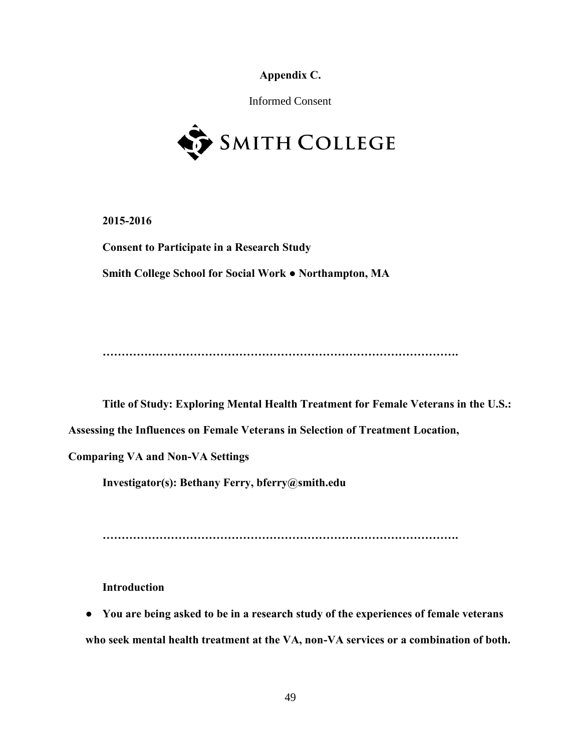**Appendix C.** 

Informed Consent



**2015-2016**

**Consent to Participate in a Research Study Smith College School for Social Work ● Northampton, MA** 

**………………………………………………………………………………….** 

**Title of Study: Exploring Mental Health Treatment for Female Veterans in the U.S.:** 

**Assessing the Influences on Female Veterans in Selection of Treatment Location,** 

**Comparing VA and Non-VA Settings** 

**Investigator(s): Bethany Ferry, bferry@smith.edu** 

**………………………………………………………………………………….** 

**Introduction** 

● **You are being asked to be in a research study of the experiences of female veterans who seek mental health treatment at the VA, non-VA services or a combination of both.**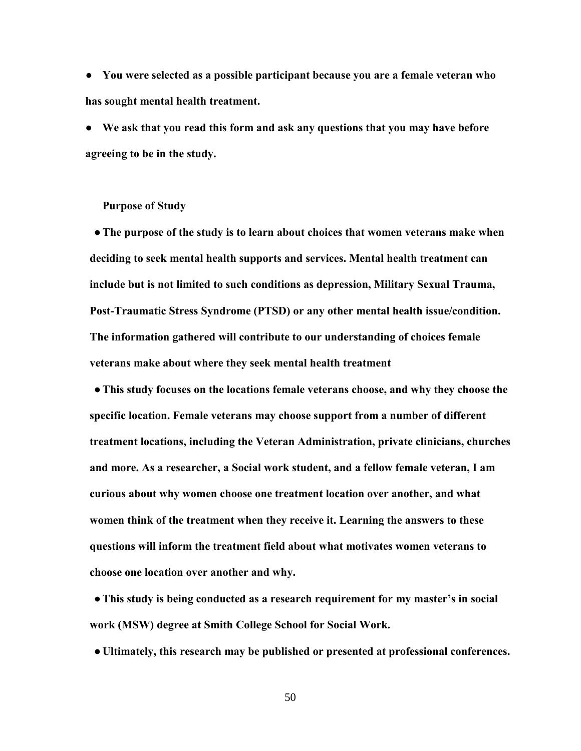● **You were selected as a possible participant because you are a female veteran who has sought mental health treatment.** 

● **We ask that you read this form and ask any questions that you may have before agreeing to be in the study.** 

## **Purpose of Study**

●**The purpose of the study is to learn about choices that women veterans make when deciding to seek mental health supports and services. Mental health treatment can include but is not limited to such conditions as depression, Military Sexual Trauma, Post-Traumatic Stress Syndrome (PTSD) or any other mental health issue/condition. The information gathered will contribute to our understanding of choices female veterans make about where they seek mental health treatment** 

●**This study focuses on the locations female veterans choose, and why they choose the specific location. Female veterans may choose support from a number of different treatment locations, including the Veteran Administration, private clinicians, churches and more. As a researcher, a Social work student, and a fellow female veteran, I am curious about why women choose one treatment location over another, and what women think of the treatment when they receive it. Learning the answers to these questions will inform the treatment field about what motivates women veterans to choose one location over another and why.** 

●**This study is being conducted as a research requirement for my master's in social work (MSW) degree at Smith College School for Social Work***.*

● **Ultimately, this research may be published or presented at professional conferences.**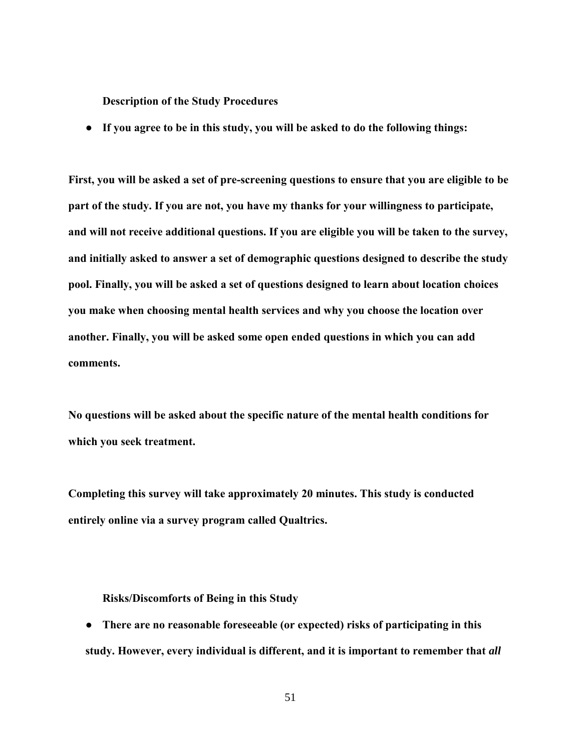**Description of the Study Procedures** 

● **If you agree to be in this study, you will be asked to do the following things:** 

**First, you will be asked a set of pre-screening questions to ensure that you are eligible to be part of the study. If you are not, you have my thanks for your willingness to participate, and will not receive additional questions. If you are eligible you will be taken to the survey, and initially asked to answer a set of demographic questions designed to describe the study pool. Finally, you will be asked a set of questions designed to learn about location choices you make when choosing mental health services and why you choose the location over another. Finally, you will be asked some open ended questions in which you can add comments.** 

**No questions will be asked about the specific nature of the mental health conditions for which you seek treatment.** 

**Completing this survey will take approximately 20 minutes. This study is conducted entirely online via a survey program called Qualtrics.** 

#### **Risks/Discomforts of Being in this Study**

● **There are no reasonable foreseeable (or expected) risks of participating in this study. However, every individual is different, and it is important to remember that** *all*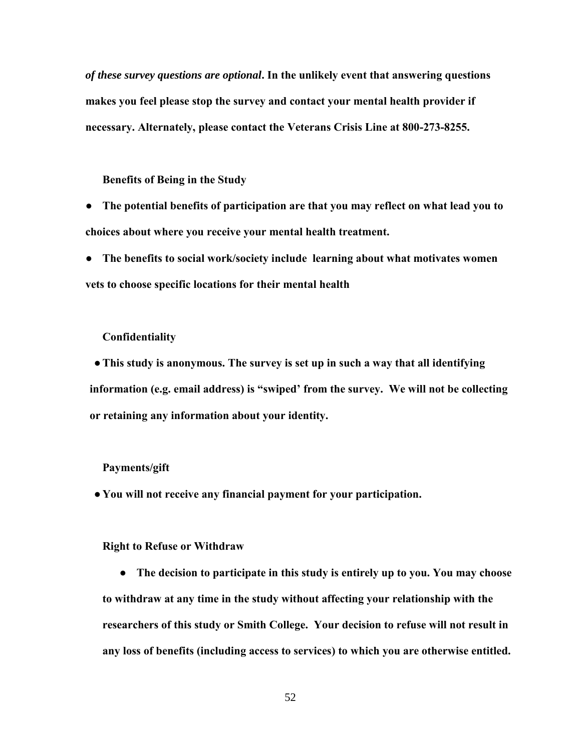*of these survey questions are optional***. In the unlikely event that answering questions makes you feel please stop the survey and contact your mental health provider if necessary. Alternately, please contact the Veterans Crisis Line at 800-273-8255.** 

**Benefits of Being in the Study** 

● **The potential benefits of participation are that you may reflect on what lead you to choices about where you receive your mental health treatment.** 

● **The benefits to social work/society include learning about what motivates women vets to choose specific locations for their mental health** 

#### **Confidentiality**

●**This study is anonymous. The survey is set up in such a way that all identifying information (e.g. email address) is "swiped' from the survey. We will not be collecting or retaining any information about your identity.** 

#### **Payments/gift**

● **You will not receive any financial payment for your participation.** 

**Right to Refuse or Withdraw** 

● **The decision to participate in this study is entirely up to you. You may choose to withdraw at any time in the study without affecting your relationship with the researchers of this study or Smith College. Your decision to refuse will not result in any loss of benefits (including access to services) to which you are otherwise entitled.**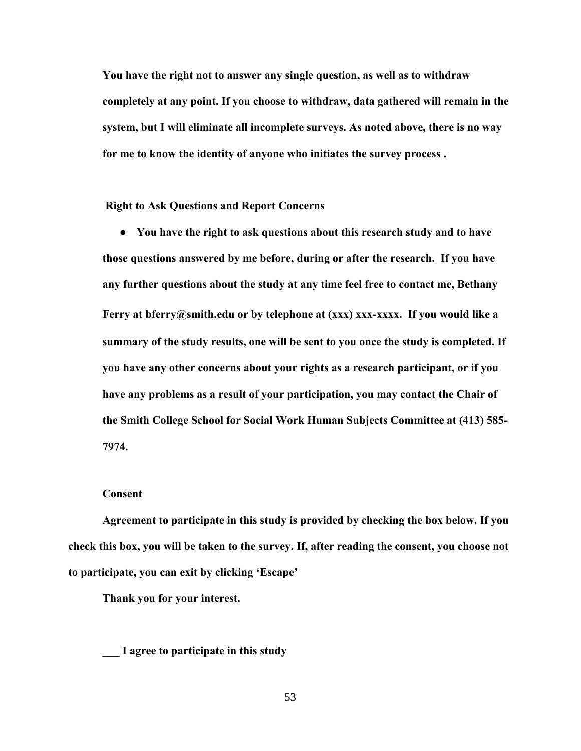**You have the right not to answer any single question, as well as to withdraw completely at any point. If you choose to withdraw, data gathered will remain in the system, but I will eliminate all incomplete surveys. As noted above, there is no way for me to know the identity of anyone who initiates the survey process .** 

**Right to Ask Questions and Report Concerns** 

● **You have the right to ask questions about this research study and to have those questions answered by me before, during or after the research. If you have any further questions about the study at any time feel free to contact me, Bethany Ferry at bferry@smith.edu or by telephone at (xxx) xxx-xxxx. If you would like a summary of the study results, one will be sent to you once the study is completed. If you have any other concerns about your rights as a research participant, or if you have any problems as a result of your participation, you may contact the Chair of the Smith College School for Social Work Human Subjects Committee at (413) 585- 7974.**

#### **Consent**

**Agreement to participate in this study is provided by checking the box below. If you check this box, you will be taken to the survey. If, after reading the consent, you choose not to participate, you can exit by clicking 'Escape'** 

**Thank you for your interest.** 

**\_\_\_ I agree to participate in this study**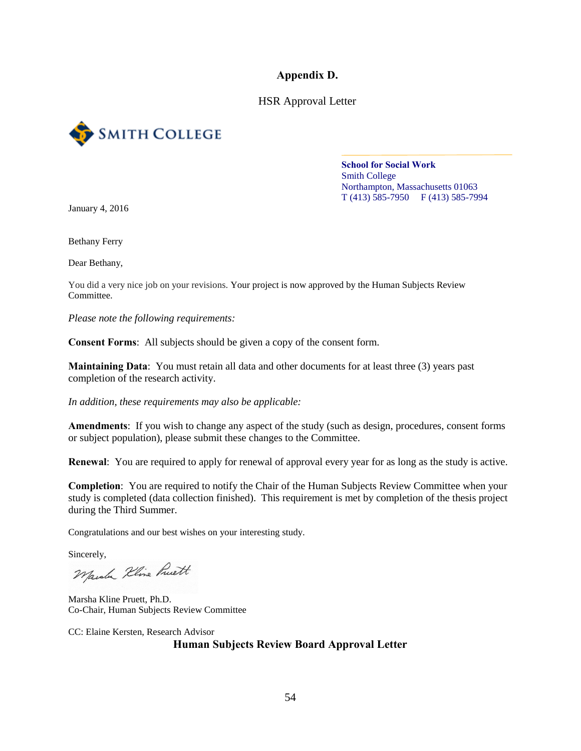**Appendix D.** 

HSR Approval Letter



**School for Social Work**  Smith College Northampton, Massachusetts 01063 T (413) 585-7950 F (413) 585-7994

January 4, 2016

Bethany Ferry

Dear Bethany,

You did a very nice job on your revisions. Your project is now approved by the Human Subjects Review Committee.

*Please note the following requirements:* 

**Consent Forms**: All subjects should be given a copy of the consent form.

**Maintaining Data**: You must retain all data and other documents for at least three (3) years past completion of the research activity.

*In addition, these requirements may also be applicable:* 

**Amendments**: If you wish to change any aspect of the study (such as design, procedures, consent forms or subject population), please submit these changes to the Committee.

**Renewal**: You are required to apply for renewal of approval every year for as long as the study is active.

**Completion**: You are required to notify the Chair of the Human Subjects Review Committee when your study is completed (data collection finished). This requirement is met by completion of the thesis project during the Third Summer.

Congratulations and our best wishes on your interesting study.

Sincerely,<br>Marche Kline Ruett

Marsha Kline Pruett, Ph.D. Co-Chair, Human Subjects Review Committee

CC: Elaine Kersten, Research Advisor **Human Subjects Review Board Approval Letter**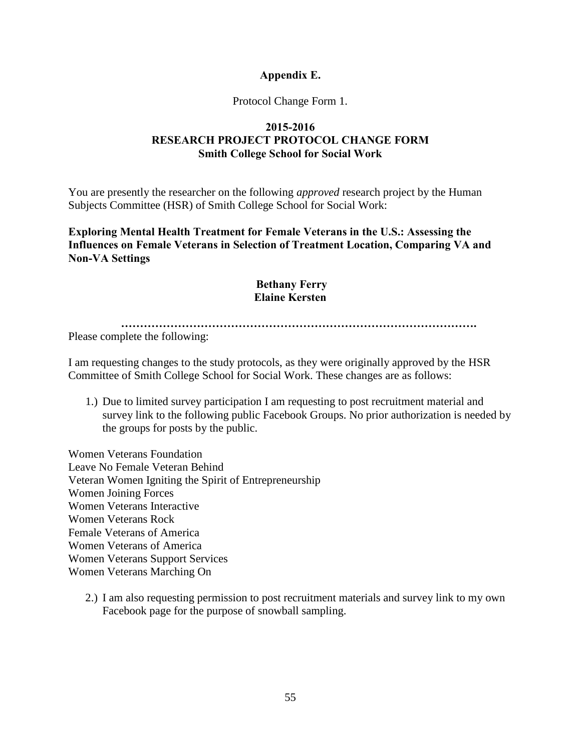# **Appendix E.**

# Protocol Change Form 1.

# **2015-2016 RESEARCH PROJECT PROTOCOL CHANGE FORM Smith College School for Social Work**

You are presently the researcher on the following *approved* research project by the Human Subjects Committee (HSR) of Smith College School for Social Work:

**Exploring Mental Health Treatment for Female Veterans in the U.S.: Assessing the Influences on Female Veterans in Selection of Treatment Location, Comparing VA and Non-VA Settings**

# **Bethany Ferry Elaine Kersten**

**………………………………………………………………………………….** 

Please complete the following:

I am requesting changes to the study protocols, as they were originally approved by the HSR Committee of Smith College School for Social Work. These changes are as follows:

1.) Due to limited survey participation I am requesting to post recruitment material and survey link to the following public Facebook Groups. No prior authorization is needed by the groups for posts by the public.

Women Veterans Foundation Leave No Female Veteran Behind Veteran Women Igniting the Spirit of Entrepreneurship Women Joining Forces Women Veterans Interactive Women Veterans Rock Female Veterans of America Women Veterans of America Women Veterans Support Services Women Veterans Marching On

2.) I am also requesting permission to post recruitment materials and survey link to my own Facebook page for the purpose of snowball sampling.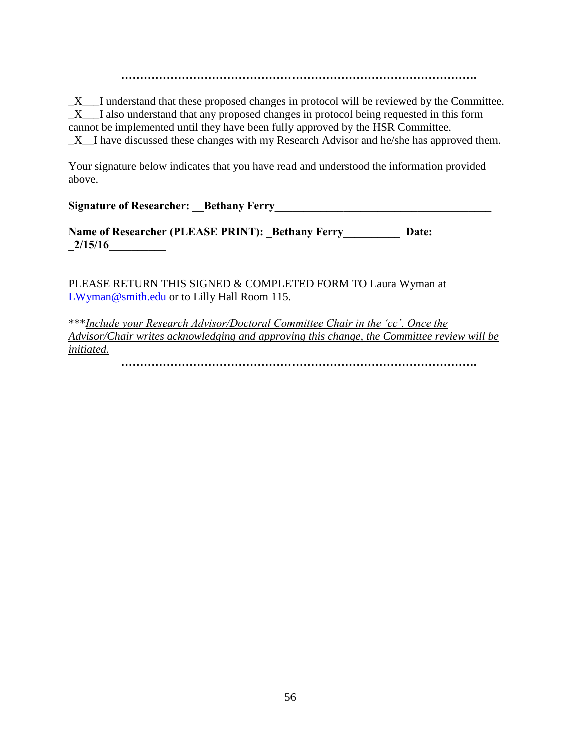**………………………………………………………………………………….** 

\_X\_\_\_I understand that these proposed changes in protocol will be reviewed by the Committee. \_X\_\_\_I also understand that any proposed changes in protocol being requested in this form cannot be implemented until they have been fully approved by the HSR Committee. \_X\_\_I have discussed these changes with my Research Advisor and he/she has approved them.

Your signature below indicates that you have read and understood the information provided above.

**Signature of Researcher:** Bethany Ferry

**Name of Researcher (PLEASE PRINT): Bethany Ferry Date: \_2/15/16\_\_\_\_\_\_\_\_\_\_** 

PLEASE RETURN THIS SIGNED & COMPLETED FORM TO Laura Wyman at [LWyman@smith.edu](mailto:LWyman@smith.edu) or to Lilly Hall Room 115.

\*\*\**Include your Research Advisor/Doctoral Committee Chair in the 'cc'. Once the Advisor/Chair writes acknowledging and approving this change, the Committee review will be initiated.* 

**………………………………………………………………………………….**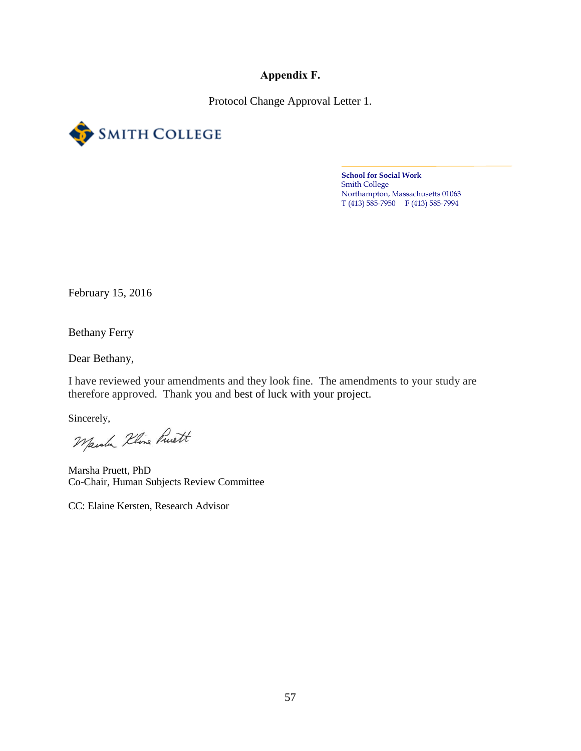**Appendix F.** 

Protocol Change Approval Letter 1.



**School for Social Work**  Smith College Northampton, Massachusetts 01063 T (413) 585-7950 F (413) 585-7994

February 15, 2016

Bethany Ferry

Dear Bethany,

I have reviewed your amendments and they look fine. The amendments to your study are therefore approved. Thank you and best of luck with your project.

Sincerely,<br>Marche Kline Pruett

Marsha Pruett, PhD Co-Chair, Human Subjects Review Committee

CC: Elaine Kersten, Research Advisor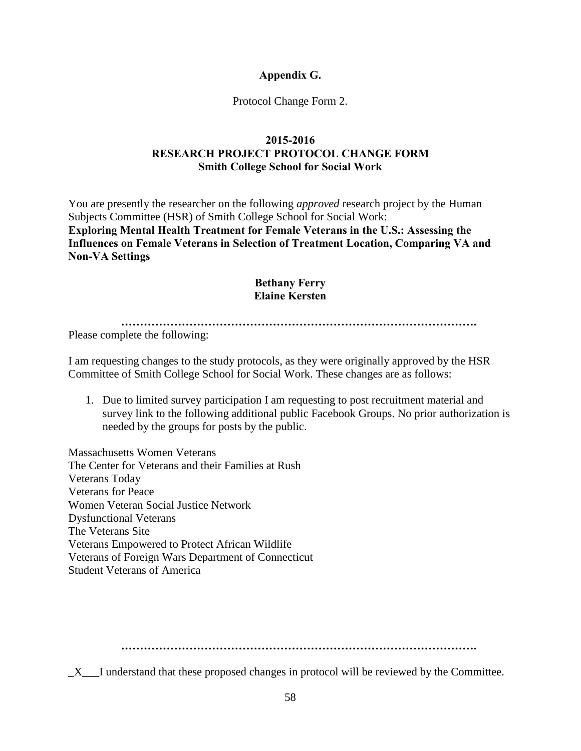# **Appendix G.**

# Protocol Change Form 2.

# **2015-2016 RESEARCH PROJECT PROTOCOL CHANGE FORM Smith College School for Social Work**

You are presently the researcher on the following *approved* research project by the Human Subjects Committee (HSR) of Smith College School for Social Work: **Exploring Mental Health Treatment for Female Veterans in the U.S.: Assessing the Influences on Female Veterans in Selection of Treatment Location, Comparing VA and Non-VA Settings**

# **Bethany Ferry Elaine Kersten**

**………………………………………………………………………………….**

Please complete the following:

I am requesting changes to the study protocols, as they were originally approved by the HSR Committee of Smith College School for Social Work. These changes are as follows:

1. Due to limited survey participation I am requesting to post recruitment material and survey link to the following additional public Facebook Groups. No prior authorization is needed by the groups for posts by the public.

Massachusetts Women Veterans The Center for Veterans and their Families at Rush Veterans Today Veterans for Peace Women Veteran Social Justice Network Dysfunctional Veterans The Veterans Site Veterans Empowered to Protect African Wildlife Veterans of Foreign Wars Department of Connecticut Student Veterans of America

 $\_X$ <sub> $\_$ I</sub> understand that these proposed changes in protocol will be reviewed by the Committee.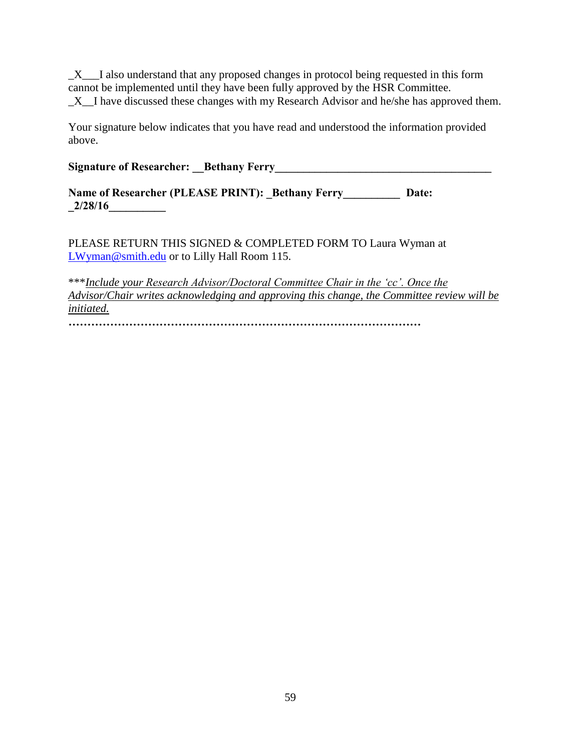$X$  I also understand that any proposed changes in protocol being requested in this form cannot be implemented until they have been fully approved by the HSR Committee.  $X$ <sub>L</sub>I have discussed these changes with my Research Advisor and he/she has approved them.

Your signature below indicates that you have read and understood the information provided above.

# **Signature of Researcher:** Bethany Ferry

**Name of Researcher (PLEASE PRINT): Bethany Ferry Date: \_2/28/16\_\_\_\_\_\_\_\_\_\_**

PLEASE RETURN THIS SIGNED & COMPLETED FORM TO Laura Wyman at [LWyman@smith.edu](mailto:LWyman@smith.edu) or to Lilly Hall Room 115.

\*\*\**Include your Research Advisor/Doctoral Committee Chair in the 'cc'. Once the Advisor/Chair writes acknowledging and approving this change, the Committee review will be initiated.* 

**…………………………………………………………………………………**